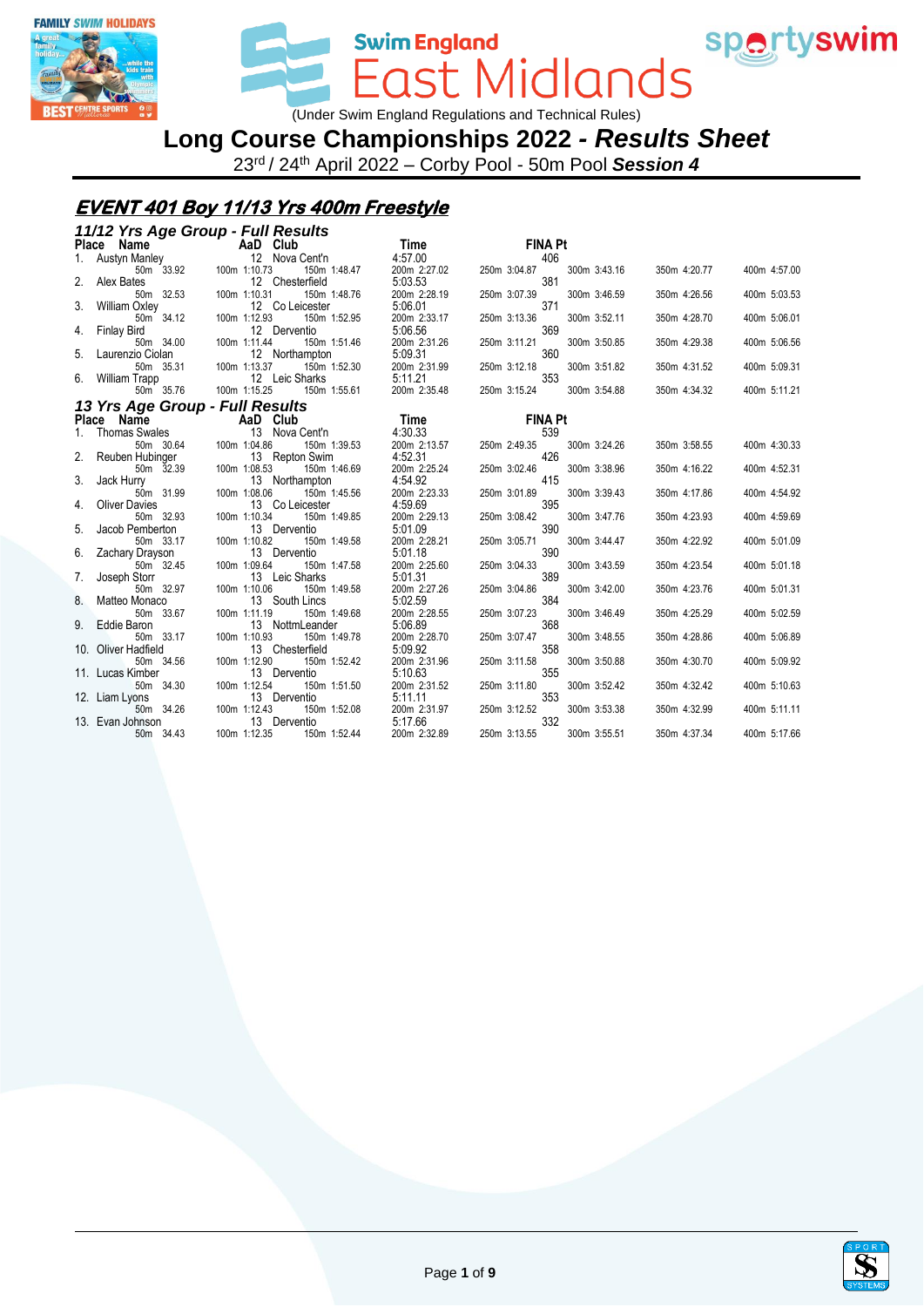



**Swim England** ast Midlands

(Under Swim England Regulations and Technical Rules)

**Long Course Championships 2022** *- Results Sheet*

23rd / 24th April 2022 – Corby Pool - 50m Pool *Session 4*

#### **EVENT 401 Boy 11/13 Yrs 400m Freestyle**

#### *11/12 Yrs Age Group - Full Results* **Place Name AaD Club Time FINA Pt**<br>1. Austyn Manley **ABD Club Time FINA Pt**<br>50m 33.92 **100m** 1:10.73 **150m** 1:48.47 **200m** 2:27.02 **250m** 3:04.87 1. Austyn Manley 12 Nova Cent'n 4:57.00 406 50m 33.92 100m 1:10.73 150m 1:48.47 200m 2:27.02 250m 3:04.87 300m 3:43.16 350m 4:20.77 400m 4:57.00 2. Alex Bates 30.52 381<br>2. Alex Bates 12 Chesterfield 5:03.53 381<br>50m 32.53 100m 1:10.31 150m 1:48.76 200m 2:28.19 250m 3:07.39 50m 32.53 100m 1:10.31 150m 1:48.76 200m 2:28.19 250m 3:07.39 300m 3:46.59 350m 4:26.56 400m 5:03.53 3. William Oxley 12 Co Leicester 5:06.01 371<br>50m 34.12 100m 1:12.93 150m 1:52.95 200m 2:33.17 250m 3:13.36 50m 34.12 100m 1:12.93 150m 1:52.95 200m 2:33.17 250m 3:13.36 300m 3:52.11 350m 4:28.70 400m 5:06.01 4. Finlay Bird 12 Derventio 5:06.56 369 50m 34.00 100m 1:11.44 150m 1:51.46 200m 2:31.26 250m 3:11.21 300m 3:50.85 350m 4:29.38 400m 5:06.56 5. Laurenzio Ciolan 12 Northampton 5:09.31 360 50m 35.31 100m 1:13.37 150m 1:52.30 200m 2:31.99 250m 3:12.18 300m 3:51.82 350m 4:31.52 400m 5:09.31 6. William Trapp 12 Leic Sharks 5:11.21 353<br>5.36.8 5:11.21 50m 35.76 100m 1:15.25 150m 1:55.61 200m 2:35.48 250m 3:15.24 50m 35.76 100m 1:15.25 150m 1:55.61 200m 2:35.48 250m 3:15.24 300m 3:54.88 350m 4:34.32 400m 5:11.21 *13 Yrs Age Group - Full Results* **Place Name AaD Club Time FINA Pt**<br>1. Thomas Swales 1. 13 Nova Centri 4:30.33 1. Thomas Swales 13 Nova Cent'n 4:30.33 539 50m 30.64 100m 1:04.86 150m 1:39.53 200m 2:13.57 250m 2:49.35 300m 3:24.26 350m 3:58.55 400m 4:30.33 2. Reuben Hubinger 13 Repton Swim 4:52.31 426 50m 32.39 100m 1:08.53 150m 1:46.69 200m 2:25.24 250m 3:02.46 300m 3:38.96 350m 4:16.22 400m 4:52.31 3. Jack Hurry 13 Northampton 4:54.92<br>  $50m$  31.99 100m 1:08.06 150m 1:45.56 200m 2:23.33 250m 3:01.89 50m 31.99 100m 1:08.06 150m 1:45.56 200m 2:23.33 250m 3:01.89 300m 3:39.43 350m 4:17.86 400m 4:54.92 4. Oliver Davies 13 Co Leicester 4:59.69 395<br>
5. Jacob Pemberton 1:0.34 150m 1:49.85 200m 2:29.13 250m 3:08.42<br>
5. Jacob Pemberton 13 Derventio 5:01.09 390 50m 32.93 100m 1:10.34 150m 1:49.85 200m 2:29.13 250m 3:08.42 300m 3:47.76 350m 4:23.93 400m 4:59.69 5. Jacob Pemberton 13 Derventio 35.01.09 390<br>5. Jacob Pemberton 13 Derventio 35.01.09 390<br>5. Som 33.17 300m 1:10.82 150m 1:49.58 200m 2:28.21 250m 3:05.71 50m 33.17 100m 1:10.82 150m 1:49.58 200m 2:28.21 250m 3:05.71 300m 3:44.47 350m 4:22.92 400m 5:01.09 6. Zachary Drayson 13 Derventio 5:01.18 390 50m 32.45 100m 1:09.64 150m 1:47.58 200m 2:25.60 250m 3:04.33 300m 3:43.59 350m 4:23.54 400m 5:01.18 7. Joseph Storr 13 Leic Sharks 5:01.31 389<br>5001.31 50m 32.97 100m 1:10.06 150m 1:49.58 200m 2:27.26 250m 3:04.86 50m 32.97 100m 1:10.06 150m 1:49.58 200m 2:27.26 250m 3:04.86 300m 3:42.00 350m 4:23.76 400m 5:01.31 8. Matteo Monaco 13.59 100 1:11.19 150m 1:49.68 300m 2:28.55 250m 3:07.23 384 50m 33.67 100m 1:11.19 150m 1:49.68 200m 2:28.55 250m 3:07.23 300m 3:46.49 350m 4:25.29 400m 5:02.59 9. Eddie Baron 13 NottmLeander 5:06.89 506.89 506 368 50m 33.17 100m 1:10.93 150m 1:49.78 200m 2:28.70 250m 3:07.47 50m 33.17 100m 1:10.93 150m 1:49.78 200m 2:28.70 250m 3:07.47 300m 3:48.55 350m 4:28.86 400m 5:06.89 10. Oliver Hadfield 13 Chesterfield 5:09.92 509.92 50m 34.56 509.92 50m 3:11.58 50m 34.56 100m 1:12.90 150m 1:52.42 200m 2:31.96 250m 3:11.58 300m 3:50.88 350m 4:30.70 400m 5:09.92 11. Lucas Kimber 13 Derventio 5:10.63 355 50m 34.30 100m 1:12.54 150m 1:51.50 200m 2:31.52 250m 3:11.80 300m 3:52.42 350m 4:32.42 400m 5:10.63 12. Liam Lyons 1988 1988 1000 112. Liam Lyons 13 Derventio 5:11.11 50m 34.26 100m 1:12.43 150m 1:52.08 200m 2:31.97 250m 3:12.52 50m 34.26 100m 1:12.43 150m 1:52.08 200m 2:31.97 250m 3:12.52 300m 3:53.38 350m 4:32.99 400m 5:11.11 13. Evan Johnson 13 Derventio 5:17.66 332 50m 34.43 100m 1:12.35 150m 1:52.44 200m 2:32.89 250m 3:13.55 300m 3:55.51 350m 4:37.34 400m 5:17.66

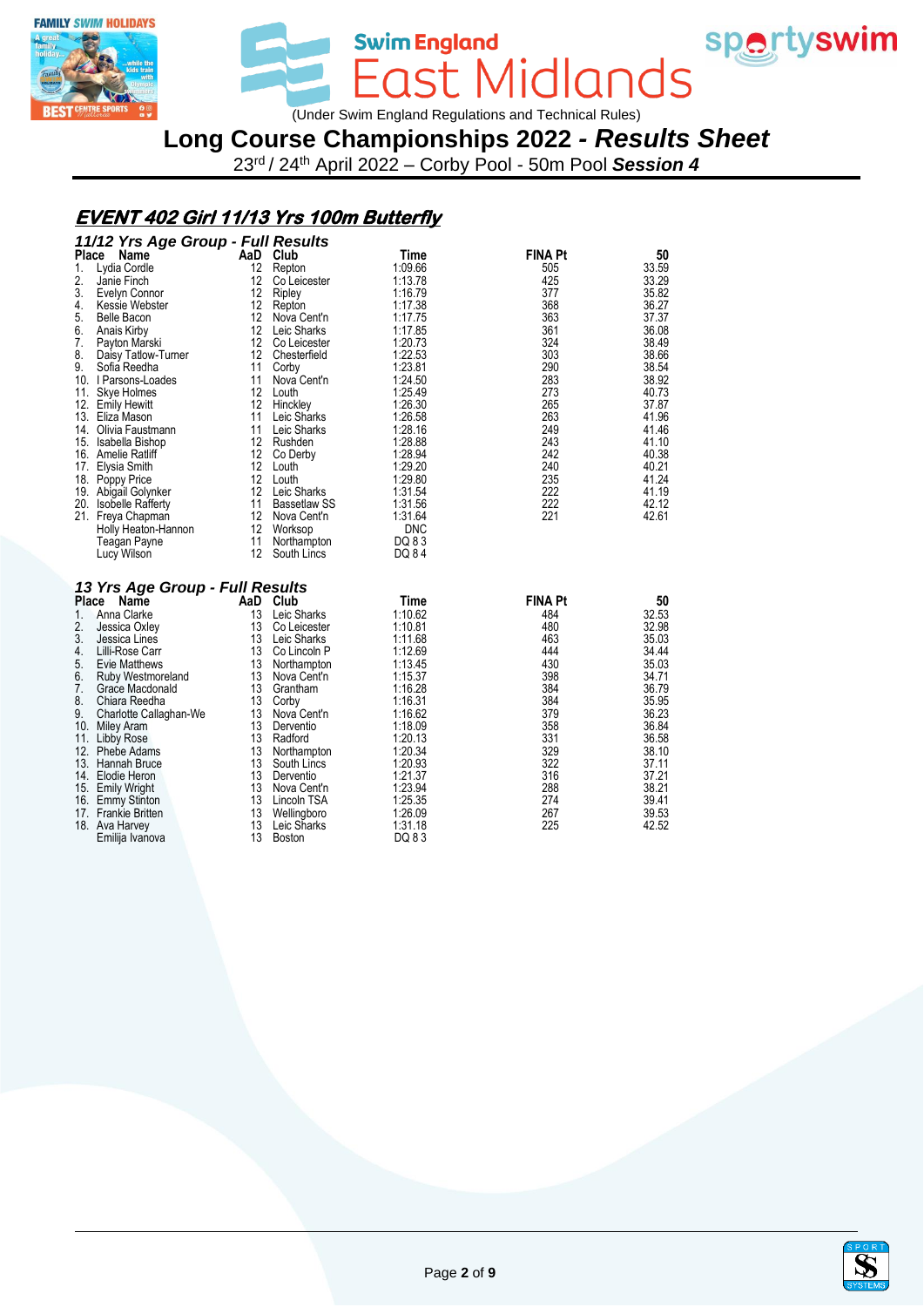



Swim England<br>East Midlands (Under Swim England Regulations and Technical Rules)

# **Long Course Championships 2022** *- Results Sheet*

23rd / 24th April 2022 – Corby Pool - 50m Pool *Session 4*

## **EVENT 402 Girl 11/13 Yrs 100m Butterfly**

|                                 | 11/12 Yrs Age Group - Full Results |            |                |       |
|---------------------------------|------------------------------------|------------|----------------|-------|
| <b>Place</b><br>Name            | AaD Club                           | Time       | <b>FINA Pt</b> | 50    |
| 1.<br>Lydia Cordle              | 12<br>Repton                       | 1:09.66    | 505            | 33.59 |
| 2.<br>Janie Finch               | 12<br>Co Leicester                 | 1:13.78    | 425            | 33.29 |
| 3.<br>Evelyn Connor             | $12 \overline{ }$<br>Ripley        | 1:16.79    | 377            | 35.82 |
| 4.<br>Kessie Webster            | 12<br>Repton                       | 1:17.38    | 368            | 36.27 |
| 5.<br>Belle Bacon               | $12 \overline{ }$<br>Nova Cent'n   | 1:17.75    | 363            | 37.37 |
| 6.<br>Anais Kirby               | 12 <sup>12</sup><br>Leic Sharks    | 1:17.85    | 361            | 36.08 |
| 7.<br>Payton Marski             | 12<br>Co Leicester                 | 1:20.73    | 324            | 38.49 |
| 8.<br>Daisy Tatlow-Turner       | 12<br>Chesterfield                 | 1:22.53    | 303            | 38.66 |
| 9.<br>Sofia Reedha              | 11<br>Corby                        | 1:23.81    | 290            | 38.54 |
| 10. I Parsons-Loades            | Nova Cent'n<br>11                  | 1:24.50    | 283            | 38.92 |
| 11. Skye Holmes                 | 12<br>Louth                        | 1:25.49    | 273            | 40.73 |
| 12. Emily Hewitt                | $12 \overline{ }$<br>Hinckley      | 1:26.30    | 265            | 37.87 |
| 13. Eliza Mason                 | 11<br>Leic Sharks                  | 1:26.58    | 263            | 41.96 |
| 14. Olivia Faustmann            | 11<br>Leic Sharks                  | 1:28.16    | 249            | 41.46 |
| 15. Isabella Bishop             | 12<br>Rushden                      | 1:28.88    | 243            | 41.10 |
| 16. Amelie Ratliff              | 12<br>Co Derby                     | 1:28.94    | 242            | 40.38 |
| 17. Elysia Smith                | 12<br>Louth                        | 1:29.20    | 240            | 40.21 |
| 18. Poppy Price                 | 12<br>Louth                        | 1:29.80    | 235            | 41.24 |
| 19. Abigail Golynker            | 12<br>Leic Sharks                  | 1:31.54    | 222            | 41.19 |
| 20. Isobelle Rafferty           | 11<br><b>Bassetlaw SS</b>          | 1:31.56    | 222            | 42.12 |
| 21. Freya Chapman               | 12<br>Nova Cent'n                  | 1:31.64    | 221            | 42.61 |
| Holly Heaton-Hannon             | 12<br>Worksop                      | <b>DNC</b> |                |       |
| Teagan Payne                    | 11<br>Northampton                  | DQ 83      |                |       |
| Lucy Wilson                     | $12 \overline{ }$<br>South Lincs   | DQ 84      |                |       |
|                                 |                                    |            |                |       |
| 13 Yrs Age Group - Full Results |                                    |            |                |       |
| Place<br>Name                   | AaD<br>Club                        | Time       | <b>FINA Pt</b> | 50    |
| Anna Clarke<br>1.               | 13<br>Leic Sharks                  | 1:10.62    | 484            | 32.53 |
| 2.<br>Jessica Oxley             | 13<br>Co Leicester                 | 1:10.81    | 480            | 32.98 |
| 3.<br>Jessica Lines             | 13<br>Leic Sharks                  | 1:11.68    | 463            | 35.03 |
| 4.<br>Lilli-Rose Carr           | 13<br>Co Lincoln P                 | 1:12.69    | 444            | 34.44 |
| 5.<br>Evie Matthews             | 13<br>Northampton                  | 1:13.45    | 430            | 35.03 |
| 6.<br>Ruby Westmoreland         | 13<br>Nova Cent'n                  | 1:15.37    | 398            | 34.71 |
| 7.<br>Grace Macdonald           | 13<br>Grantham                     | 1:16.28    | 384            | 36.79 |
| 8.<br>Chiara Reedha             | 13<br>Corby                        | 1:16.31    | 384            | 35.95 |
| 9.<br>Charlotte Callaghan-We    | Nova Cent'n<br>13                  | 1:16.62    | 379            | 36.23 |
| 10. Miley Aram                  | 13<br>Derventio                    | 1:18.09    | 358            | 36.84 |
| 11.<br>Libby Rose               | 13<br>Radford                      | 1:20.13    | 331            | 36.58 |
| 12.<br>Phebe Adams              | 13<br>Northampton                  | 1:20.34    | 329            | 38.10 |
| 13. Hannah Bruce                | 13<br>South Lincs                  | 1:20.93    | 322            | 37.11 |
| 14. Elodie Heron                | 13<br>Derventio                    | 1:21.37    | 316            | 37.21 |
| 15. Emily Wright                | 13<br>Nova Cent'n                  | 1:23.94    | 288            | 38.21 |
| 16. Emmy Stinton                | 13<br>Lincoln TSA                  | 1:25.35    | 274            | 39.41 |
| 17. Frankie Britten             | 13<br>Wellingboro                  | 1:26.09    | 267            | 39.53 |
| 18. Ava Harvey                  | 13<br>Leic Sharks                  | 1:31.18    | 225            | 42.52 |
| Emilija Ivanova                 | 13<br>Boston                       | DQ 83      |                |       |

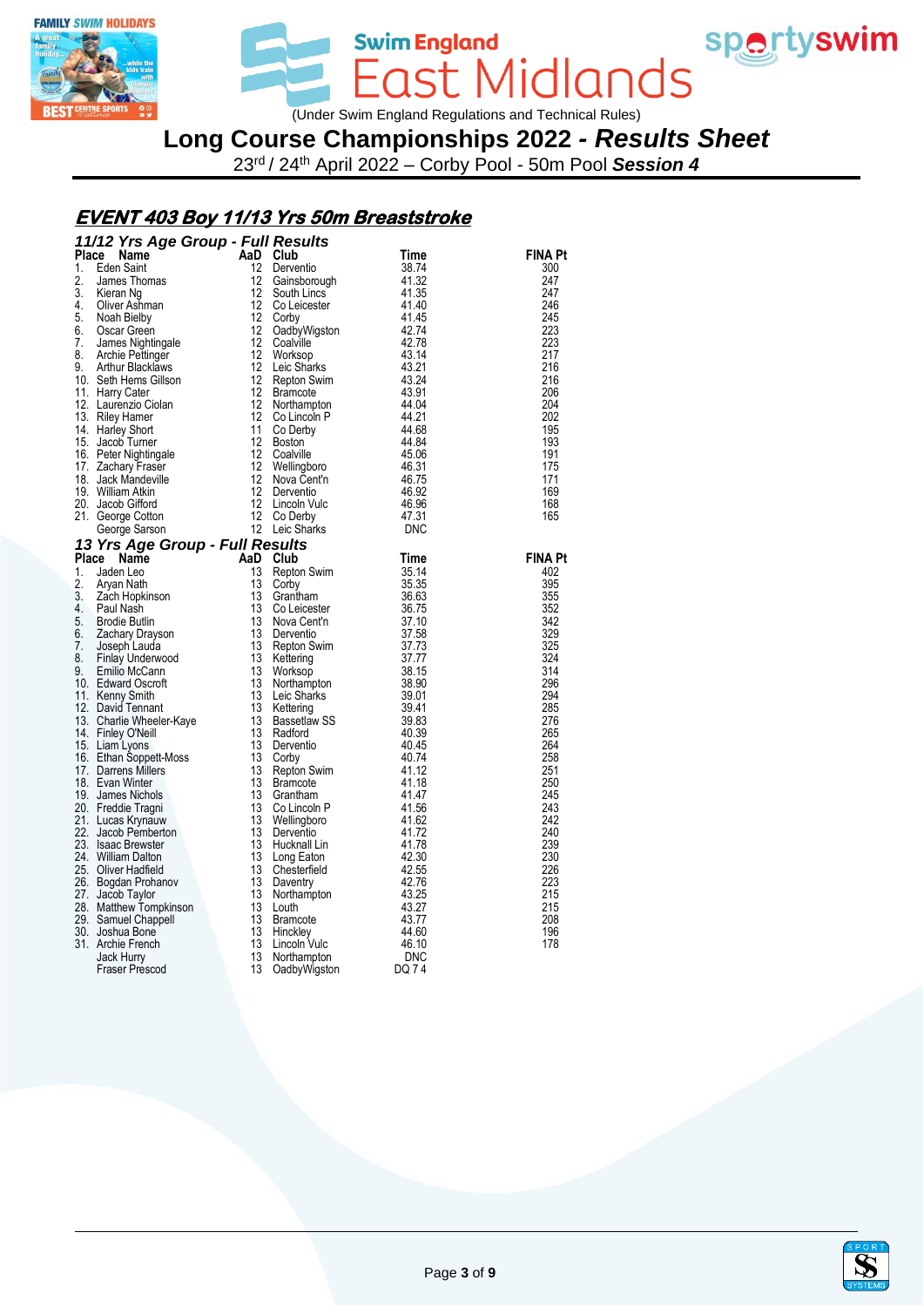



Swim England<br>East Midlands (Under Swim England Regulations and Technical Rules)

# **Long Course Championships 2022** *- Results Sheet*

23rd / 24th April 2022 – Corby Pool - 50m Pool *Session 4*

## **EVENT 403 Boy 11/13 Yrs 50m Breaststroke**

| 11/12 Yrs Age Group - Full Results<br><b>11/12 Yrs Age Group - Full Results</b><br>Time<br>12 Denventio <b>And Club</b><br>1. Eden Saint<br>2. James Thomas<br>12 Gainsborough $41.32$<br>12 Gainsborough $41.32$<br>4. Oliver Ashman<br>6. Noah Bielby<br>6. Noah Bielby<br>7. James Nightingale |                                                                                                                                                                                                                                                                             |                |
|---------------------------------------------------------------------------------------------------------------------------------------------------------------------------------------------------------------------------------------------------------------------------------------------------|-----------------------------------------------------------------------------------------------------------------------------------------------------------------------------------------------------------------------------------------------------------------------------|----------------|
|                                                                                                                                                                                                                                                                                                   |                                                                                                                                                                                                                                                                             | <b>FINA Pt</b> |
|                                                                                                                                                                                                                                                                                                   |                                                                                                                                                                                                                                                                             | 300            |
|                                                                                                                                                                                                                                                                                                   |                                                                                                                                                                                                                                                                             | 247            |
|                                                                                                                                                                                                                                                                                                   |                                                                                                                                                                                                                                                                             | 247            |
|                                                                                                                                                                                                                                                                                                   |                                                                                                                                                                                                                                                                             | 246            |
|                                                                                                                                                                                                                                                                                                   |                                                                                                                                                                                                                                                                             | 245            |
|                                                                                                                                                                                                                                                                                                   |                                                                                                                                                                                                                                                                             | 223<br>223     |
|                                                                                                                                                                                                                                                                                                   |                                                                                                                                                                                                                                                                             | 217            |
|                                                                                                                                                                                                                                                                                                   |                                                                                                                                                                                                                                                                             | 216            |
|                                                                                                                                                                                                                                                                                                   |                                                                                                                                                                                                                                                                             | 216            |
|                                                                                                                                                                                                                                                                                                   |                                                                                                                                                                                                                                                                             | 206            |
|                                                                                                                                                                                                                                                                                                   |                                                                                                                                                                                                                                                                             | 204            |
|                                                                                                                                                                                                                                                                                                   |                                                                                                                                                                                                                                                                             | 202            |
|                                                                                                                                                                                                                                                                                                   |                                                                                                                                                                                                                                                                             | 195            |
|                                                                                                                                                                                                                                                                                                   |                                                                                                                                                                                                                                                                             | 193            |
|                                                                                                                                                                                                                                                                                                   |                                                                                                                                                                                                                                                                             | 191            |
|                                                                                                                                                                                                                                                                                                   |                                                                                                                                                                                                                                                                             | 175            |
|                                                                                                                                                                                                                                                                                                   |                                                                                                                                                                                                                                                                             | 171            |
|                                                                                                                                                                                                                                                                                                   |                                                                                                                                                                                                                                                                             | 169            |
|                                                                                                                                                                                                                                                                                                   |                                                                                                                                                                                                                                                                             | 168            |
|                                                                                                                                                                                                                                                                                                   |                                                                                                                                                                                                                                                                             | 165            |
|                                                                                                                                                                                                                                                                                                   |                                                                                                                                                                                                                                                                             |                |
| 13 Yrs Age Group - Full Results                                                                                                                                                                                                                                                                   | <b>esults</b><br><b>Club</b><br>Repton Swim<br>Corby<br>Repton Swim<br>Corbicatester<br>Corbicatester<br>Corbicatester<br>Corbicatester<br>Nova Centrican<br>Repton Swim<br>Norksop<br>Norksop<br>Leic Sharks<br>29.01<br>Leic Sharks<br>Sandford<br>Repton Corby<br>Repton |                |
|                                                                                                                                                                                                                                                                                                   |                                                                                                                                                                                                                                                                             | <b>FINA Pt</b> |
|                                                                                                                                                                                                                                                                                                   |                                                                                                                                                                                                                                                                             | 402            |
|                                                                                                                                                                                                                                                                                                   |                                                                                                                                                                                                                                                                             | 395            |
|                                                                                                                                                                                                                                                                                                   |                                                                                                                                                                                                                                                                             | 355            |
|                                                                                                                                                                                                                                                                                                   |                                                                                                                                                                                                                                                                             | 352            |
|                                                                                                                                                                                                                                                                                                   |                                                                                                                                                                                                                                                                             | 342            |
|                                                                                                                                                                                                                                                                                                   |                                                                                                                                                                                                                                                                             | 329<br>325     |
|                                                                                                                                                                                                                                                                                                   |                                                                                                                                                                                                                                                                             | 324            |
|                                                                                                                                                                                                                                                                                                   |                                                                                                                                                                                                                                                                             | 314            |
|                                                                                                                                                                                                                                                                                                   |                                                                                                                                                                                                                                                                             | 296            |
|                                                                                                                                                                                                                                                                                                   |                                                                                                                                                                                                                                                                             | 294            |
|                                                                                                                                                                                                                                                                                                   |                                                                                                                                                                                                                                                                             | 285            |
|                                                                                                                                                                                                                                                                                                   |                                                                                                                                                                                                                                                                             | 276            |
|                                                                                                                                                                                                                                                                                                   |                                                                                                                                                                                                                                                                             | 265            |
|                                                                                                                                                                                                                                                                                                   |                                                                                                                                                                                                                                                                             | 264            |
|                                                                                                                                                                                                                                                                                                   |                                                                                                                                                                                                                                                                             | 258            |
|                                                                                                                                                                                                                                                                                                   | Repton Swim<br>Bramcote<br>Bramcote<br>Grantham<br>Co Lincoln P<br>Mellingboro<br>41.62<br>Mellingboro<br>41.62                                                                                                                                                             | 251            |
|                                                                                                                                                                                                                                                                                                   |                                                                                                                                                                                                                                                                             | 250            |
|                                                                                                                                                                                                                                                                                                   |                                                                                                                                                                                                                                                                             | 245            |
|                                                                                                                                                                                                                                                                                                   |                                                                                                                                                                                                                                                                             | 243            |
|                                                                                                                                                                                                                                                                                                   | Co Lincoln P<br>Wellingboro<br>Derventio                                                                                                                                                                                                                                    | 242            |
|                                                                                                                                                                                                                                                                                                   |                                                                                                                                                                                                                                                                             | 240            |
|                                                                                                                                                                                                                                                                                                   |                                                                                                                                                                                                                                                                             | 239<br>230     |
|                                                                                                                                                                                                                                                                                                   |                                                                                                                                                                                                                                                                             | 226            |
|                                                                                                                                                                                                                                                                                                   |                                                                                                                                                                                                                                                                             | 223            |
|                                                                                                                                                                                                                                                                                                   |                                                                                                                                                                                                                                                                             | 215            |
|                                                                                                                                                                                                                                                                                                   |                                                                                                                                                                                                                                                                             | 215            |
|                                                                                                                                                                                                                                                                                                   |                                                                                                                                                                                                                                                                             | 208            |
|                                                                                                                                                                                                                                                                                                   |                                                                                                                                                                                                                                                                             | 196            |
|                                                                                                                                                                                                                                                                                                   |                                                                                                                                                                                                                                                                             | 178            |
| Jack www.<br>William Atkin<br>Jacob Gifford<br>George Cotton<br>George Cotton<br>George Sarson<br><b>Yrs Age Group - Full Results<br/> Aaden Leo<br/> Aryan Nath<br/> Zach Hopkinson<br/> Paul Nash<br/> Pack at 13 Reptor<br/> Paul Nash<br/> Pack at 13 Reptor<br/> Pack A</b>                  | Wellingboro<br>Derventio 41.62<br>Derventio 44.78<br>Long Eaton 42.30<br>Chesterfield 42.55<br>Daventy 42.76<br>Northampton 43.27<br>Northampton 43.27<br>Hinckley 44.60<br>Northampton 46.10<br>Northampton 66.10<br>Northampton DQ 74                                     |                |
|                                                                                                                                                                                                                                                                                                   |                                                                                                                                                                                                                                                                             |                |

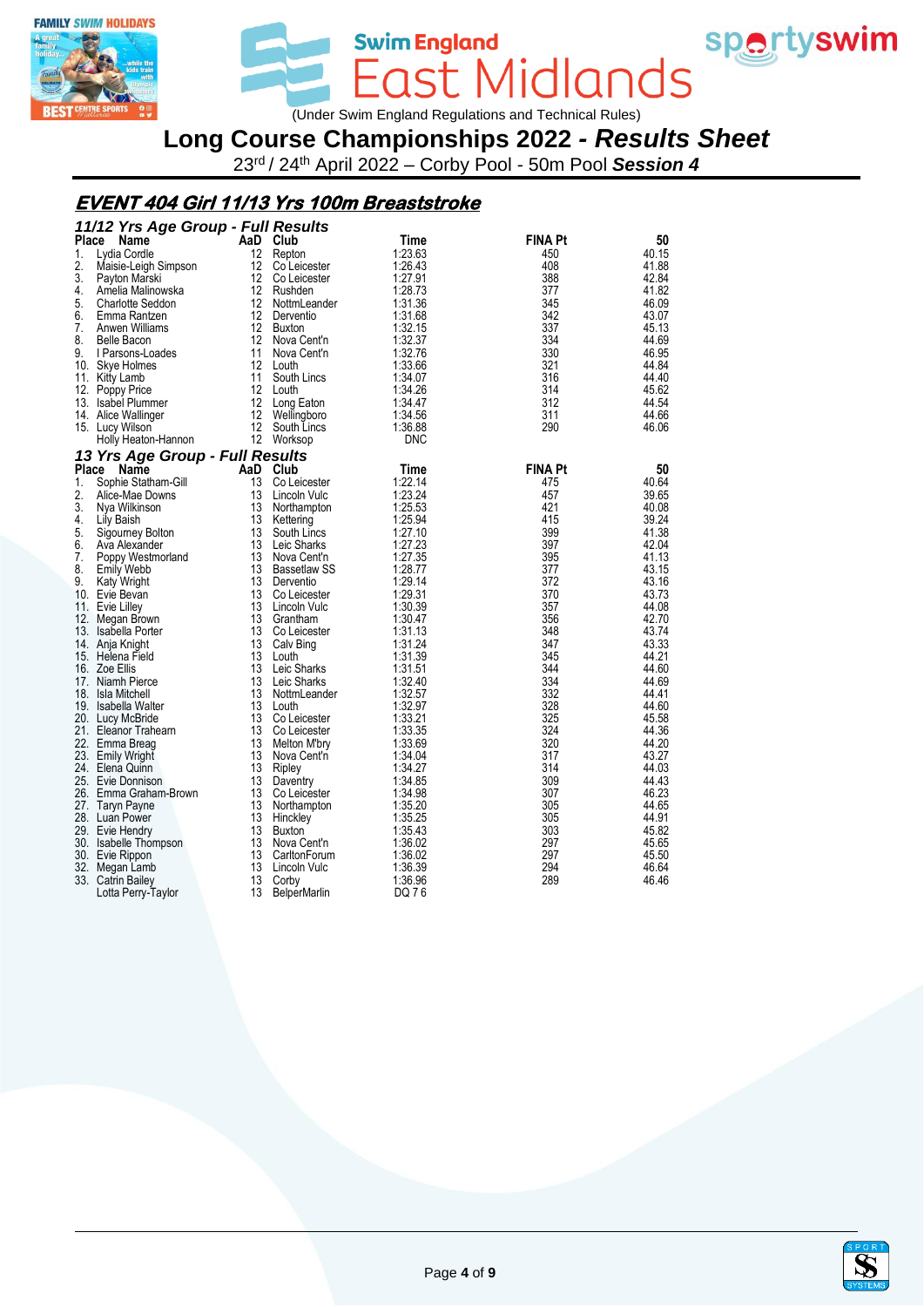



Swim England<br>
COST MICIONOS<br>
Under Swim England Regulations and Technical Rules)

# **Long Course Championships 2022** *- Results Sheet*

23rd / 24th April 2022 – Corby Pool - 50m Pool *Session 4*

## **EVENT 404 Girl 11/13 Yrs 100m Breaststroke**

|              | 11/12 Yrs Age Group - Full Results |                   |                     |            |                |       |
|--------------|------------------------------------|-------------------|---------------------|------------|----------------|-------|
| <b>Place</b> | Name                               |                   | AaD Club            | Time       | <b>FINA Pt</b> | 50    |
| 1.           | Lydia Cordle                       | $12 \overline{ }$ | Repton              | 1:23.63    | 450            | 40.15 |
| 2.           | Maisie-Leigh Simpson               | 12                | Co Leicester        | 1:26.43    | 408            | 41.88 |
| 3.           | Payton Marski                      | 12                | Co Leicester        | 1:27.91    | 388            | 42.84 |
| 4.           | Amelia Malinowska                  | 12                | Rushden             | 1:28.73    | 377            | 41.82 |
| 5.           | <b>Charlotte Seddon</b>            | 12 <sup>°</sup>   | NottmLeander        | 1:31.36    | 345            | 46.09 |
| 6.           | Emma Rantzen                       | 12                | Derventio           | 1:31.68    | 342            | 43.07 |
| 7.           | Anwen Williams                     | 12 <sup>12</sup>  | Buxton              | 1:32.15    | 337            | 45.13 |
| 8.           | Belle Bacon                        | 12 <sup>°</sup>   | Nova Cent'n         | 1:32.37    | 334            | 44.69 |
| 9.           | I Parsons-Loades                   | 11                | Nova Cent'n         | 1:32.76    | 330            | 46.95 |
|              | 10. Skye Holmes                    | 12 <sup>2</sup>   | Louth               | 1:33.66    | 321            | 44.84 |
|              | 11. Kitty Lamb                     | 11                | South Lincs         | 1:34.07    | 316            | 44.40 |
|              | 12. Poppy Price                    | 12                | Louth               | 1:34.26    | 314            | 45.62 |
|              | 13. Isabel Plummer                 | 12                | Long Eaton          | 1:34.47    | 312            | 44.54 |
|              | 14. Alice Wallinger                | 12                | Wellingboro         | 1:34.56    | 311            | 44.66 |
|              | 15. Lucy Wilson                    | 12                | South Lincs         | 1:36.88    | 290            | 46.06 |
|              | Holly Heaton-Hannon                |                   | 12 Worksop          | <b>DNC</b> |                |       |
|              |                                    |                   |                     |            |                |       |
|              | 13 Yrs Age Group - Full Results    |                   |                     |            |                |       |
| Place        | Name                               | AaD               | Club                | Time       | <b>FINA Pt</b> | 50    |
| 1.           | Sophie Statham-Gill                | 13                | Co Leicester        | 1:22.14    | 475            | 40.64 |
| 2.           | Alice-Mae Downs                    | 13                | Lincoln Vulc        | 1:23.24    | 457            | 39.65 |
| 3.           | Nya Wilkinson                      | 13                | Northampton         | 1:25.53    | 421            | 40.08 |
| 4.           | Lily Baish                         | 13                | Kettering           | 1:25.94    | 415            | 39.24 |
| 5.           | Sigourney Bolton                   | 13                | South Lincs         | 1:27.10    | 399            | 41.38 |
| 6.           | Ava Alexander                      | 13                | Leic Sharks         | 1:27.23    | 397            | 42.04 |
| 7.           | Poppy Westmorland                  | 13                | Nova Cent'n         | 1:27.35    | 395            | 41.13 |
| 8.           | <b>Emily Webb</b>                  | 13                | <b>Bassetlaw SS</b> | 1:28.77    | 377            | 43.15 |
| 9.           | Katy Wright                        | 13                | Derventio           | 1:29.14    | 372            | 43.16 |
|              | 10. Evie Bevan                     | 13                | Co Leicester        | 1:29.31    | 370            | 43.73 |
|              | 11. Evie Lilley                    | 13                | Lincoln Vulc        | 1:30.39    | 357            | 44.08 |
|              | 12. Megan Brown                    | 13                | Grantham            | 1:30.47    | 356            | 42.70 |
|              | 13. Isabella Porter                | 13                | Co Leicester        | 1:31.13    | 348            | 43.74 |
|              | 14. Anja Knight                    | 13                | Calv Bing           | 1:31.24    | 347            | 43.33 |
|              | 15. Helena Field                   | 13                | Louth               | 1:31.39    | 345            | 44.21 |
|              | 16. Zoe Ellis                      | 13                | Leic Sharks         | 1:31.51    | 344            | 44.60 |
|              | 17. Niamh Pierce                   | 13                | Leic Sharks         | 1:32.40    | 334            | 44.69 |
|              | 18. Isla Mitchell                  | 13                | NottmLeander        | 1:32.57    | 332            | 44.41 |
|              | 19. Isabella Walter                | 13                | Louth               | 1:32.97    | 328            | 44.60 |
|              | 20. Lucy McBride                   | 13                | Co Leicester        | 1:33.21    | 325            | 45.58 |
|              | 21. Eleanor Trahearn               | 13                | Co Leicester        | 1:33.35    | 324            | 44.36 |
|              | 22. Emma Breag                     | 13                | Melton M'bry        | 1:33.69    | 320            | 44.20 |
|              | 23. Emily Wright                   | 13                | Nova Cent'n         | 1:34.04    | 317            | 43.27 |
|              | 24. Elena Quinn                    | 13                | Ripley              | 1:34.27    | 314            | 44.03 |
|              | 25. Evie Donnison                  | 13                | Daventry            | 1:34.85    | 309            | 44.43 |
|              | 26. Emma Graham-Brown              | 13                | Co Leicester        | 1:34.98    | 307            | 46.23 |
|              | 27. Taryn Payne                    | 13                | Northampton         | 1:35.20    | 305            | 44.65 |
|              | 28. Luan Power                     | 13                | Hinckley            | 1:35.25    | 305            | 44.91 |
|              | 29. Evie Hendry                    | 13                | <b>Buxton</b>       | 1:35.43    | 303            | 45.82 |
|              | 30. Isabelle Thompson              | 13                | Nova Cent'n         | 1:36.02    | 297            | 45.65 |
|              | 30. Evie Rippon                    | 13                | CarltonForum        | 1:36.02    | 297            | 45.50 |
| 32.          | Megan Lamb                         | 13                | Lincoln Vulc        | 1:36.39    | 294            | 46.64 |
|              | 33. Catrin Bailey                  | 13                | Corby               | 1:36.96    | 289            | 46.46 |
|              | Lotta Perry-Taylor                 | 13                | <b>BelperMarlin</b> | DQ 76      |                |       |

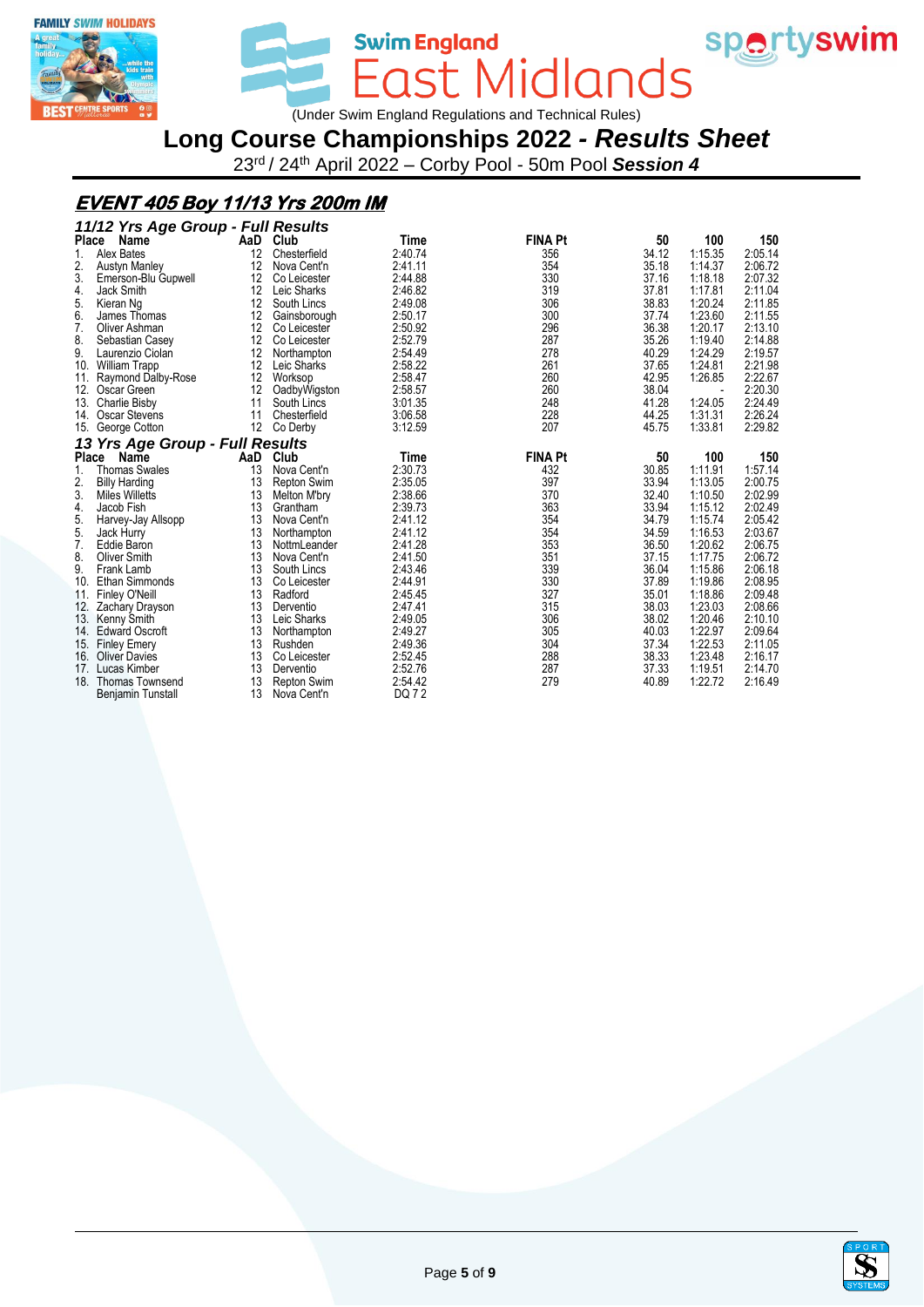



Swim England<br>
COST MICIONOS<br>
Under Swim England Regulations and Technical Rules)

**Long Course Championships 2022** *- Results Sheet*

23rd / 24th April 2022 – Corby Pool - 50m Pool *Session 4*

## **EVENT 405 Boy 11/13 Yrs 200m IM**

| Place<br>AaD<br>Club<br><b>FINA Pt</b><br>50<br>100<br>150<br>Name<br>Time<br>1:15.35<br><b>Alex Bates</b><br>2:40.74<br>34.12<br>2:05.14<br>1.<br>12<br>Chesterfield<br>356<br>2.<br>2:41.11<br>354<br>2:06.72<br>12<br>35.18<br>1:14.37<br><b>Austyn Manley</b><br>Nova Cent'n<br>3.<br>2:44.88<br>330<br>37.16<br>1:18.18<br>12<br>2:07.32<br>Emerson-Blu Gupwell<br>Co Leicester<br>37.81<br>12<br>2:46.82<br>319<br>1:17.81<br>2:11.04<br>4.<br>Leic Sharks<br>Jack Smith<br>5.<br>12<br>306<br>38.83<br>1:20.24<br>2:11.85<br>2:49.08<br>South Lincs<br>Kieran Ng<br>6.<br>300<br>1:23.60<br>12<br>2:50.17<br>37.74<br>2:11.55<br>James Thomas<br>Gainsborough<br>7.<br>296<br>36.38<br>2:13.10<br>12<br>2:50.92<br>1:20.17<br>Oliver Ashman<br>Co Leicester<br>8.<br>2:52.79<br>287<br>35.26<br>2:14.88<br>12<br>1:19.40<br>Sebastian Casey<br>Co Leicester<br>9.<br>2:19.57<br>2:54.49<br>278<br>40.29<br>1:24.29<br>12<br>Laurenzio Ciolan<br>Northampton<br>2:21.98<br>10.<br>12<br>2:58.22<br>261<br>37.65<br>1:24.81<br>Leic Sharks<br><b>William Trapp</b><br>2:58.47<br>260<br>1:26.85<br>2:22.67<br>12<br>42.95<br>11.<br>Raymond Dalby-Rose<br>Worksop<br>260<br>38.04<br>2:20.30<br>12.<br>12<br>2:58.57<br>Oscar Green<br>OadbyWigston<br>$\overline{\phantom{a}}$<br>2:24.49<br>3:01.35<br>248<br>41.28<br>1:24.05<br>13.<br>Charlie Bisby<br>11<br>South Lincs<br>228<br>2:26.24<br>44.25<br>1:31.31<br>14.<br>Oscar Stevens<br>11<br>3:06.58<br>Chesterfield<br>207<br>1:33.81<br>2:29.82<br>12<br>3:12.59<br>45.75<br>15.<br>George Cotton<br>Co Derby<br>13 Yrs Age Group - Full Results<br>Place<br>Club<br><b>FINA Pt</b><br>Name<br>AaD<br>50<br>100<br>150<br>Time<br>1:11.91<br>2:30.73<br>30.85<br>1:57.14<br>1.<br><b>Thomas Swales</b><br>13<br>Nova Cent'n<br>432<br>2.<br>33.94<br>2:00.75<br>13<br>2:35.05<br>397<br>1:13.05<br><b>Repton Swim</b><br><b>Billy Harding</b><br>3.<br>2:38.66<br>370<br>32.40<br>2:02.99<br>1:10.50<br>13<br><b>Miles Willetts</b><br>Melton M'bry<br>363<br>2:39.73<br>33.94<br>2:02.49<br>4.<br>13<br>1:15.12<br>Jacob Fish<br>Grantham<br>5.<br>34.79<br>2:05.42<br>354<br>1:15.74<br>13<br>Nova Cent'n<br>2:41.12<br>Harvey-Jay Allsopp<br>5.<br>354<br>1:16.53<br>2:03.67<br>13<br>2:41.12<br>34.59<br>Jack Hurry<br>Northampton<br>7.<br>2:06.75<br>353<br>1:20.62<br>13<br>2:41.28<br>36.50<br>Eddie Baron<br>NottmLeander<br>8.<br>351<br>1:17.75<br>2:06.72<br><b>Oliver Smith</b><br>13<br>Nova Cent'n<br>2:41.50<br>37.15<br>9.<br>339<br>36.04<br>2:06.18<br>13<br>South Lincs<br>2:43.46<br>1:15.86<br>Frank Lamb<br>330<br>10.<br>13<br>2:44.91<br>37.89<br>2:08.95<br><b>Ethan Simmonds</b><br>1:19.86<br>Co Leicester<br>327<br>13<br>35.01<br>1:18.86<br>2:09.48<br>11.<br>2:45.45<br><b>Finley O'Neill</b><br>Radford<br>315<br>12.<br>2:47.41<br>38.03<br>1:23.03<br>2:08.66<br>13<br>Zachary Drayson<br>Derventio<br>306<br>13.<br>13<br>Leic Sharks<br>2:49.05<br>38.02<br>1:20.46<br>2:10.10<br>Kenny Smith<br>305<br>2:49.27<br>40.03<br>1:22.97<br>2:09.64<br>13<br>14.<br><b>Edward Oscroft</b><br>Northampton<br>304<br>1:22.53<br>2:11.05<br>13<br>2:49.36<br>37.34<br>15.<br><b>Finley Emery</b><br>Rushden |     | 11/12 Yrs Age Group - Full Results |    |              |         |     |       |         |         |
|---------------------------------------------------------------------------------------------------------------------------------------------------------------------------------------------------------------------------------------------------------------------------------------------------------------------------------------------------------------------------------------------------------------------------------------------------------------------------------------------------------------------------------------------------------------------------------------------------------------------------------------------------------------------------------------------------------------------------------------------------------------------------------------------------------------------------------------------------------------------------------------------------------------------------------------------------------------------------------------------------------------------------------------------------------------------------------------------------------------------------------------------------------------------------------------------------------------------------------------------------------------------------------------------------------------------------------------------------------------------------------------------------------------------------------------------------------------------------------------------------------------------------------------------------------------------------------------------------------------------------------------------------------------------------------------------------------------------------------------------------------------------------------------------------------------------------------------------------------------------------------------------------------------------------------------------------------------------------------------------------------------------------------------------------------------------------------------------------------------------------------------------------------------------------------------------------------------------------------------------------------------------------------------------------------------------------------------------------------------------------------------------------------------------------------------------------------------------------------------------------------------------------------------------------------------------------------------------------------------------------------------------------------------------------------------------------------------------------------------------------------------------------------------------------------------------------------------------------------------------------------------------------------------------------------------------------------------------------------------------------------------------------------------------------------------------------------------------------------------------------------------------------------------------------------------------------------|-----|------------------------------------|----|--------------|---------|-----|-------|---------|---------|
|                                                                                                                                                                                                                                                                                                                                                                                                                                                                                                                                                                                                                                                                                                                                                                                                                                                                                                                                                                                                                                                                                                                                                                                                                                                                                                                                                                                                                                                                                                                                                                                                                                                                                                                                                                                                                                                                                                                                                                                                                                                                                                                                                                                                                                                                                                                                                                                                                                                                                                                                                                                                                                                                                                                                                                                                                                                                                                                                                                                                                                                                                                                                                                                                         |     |                                    |    |              |         |     |       |         |         |
|                                                                                                                                                                                                                                                                                                                                                                                                                                                                                                                                                                                                                                                                                                                                                                                                                                                                                                                                                                                                                                                                                                                                                                                                                                                                                                                                                                                                                                                                                                                                                                                                                                                                                                                                                                                                                                                                                                                                                                                                                                                                                                                                                                                                                                                                                                                                                                                                                                                                                                                                                                                                                                                                                                                                                                                                                                                                                                                                                                                                                                                                                                                                                                                                         |     |                                    |    |              |         |     |       |         |         |
|                                                                                                                                                                                                                                                                                                                                                                                                                                                                                                                                                                                                                                                                                                                                                                                                                                                                                                                                                                                                                                                                                                                                                                                                                                                                                                                                                                                                                                                                                                                                                                                                                                                                                                                                                                                                                                                                                                                                                                                                                                                                                                                                                                                                                                                                                                                                                                                                                                                                                                                                                                                                                                                                                                                                                                                                                                                                                                                                                                                                                                                                                                                                                                                                         |     |                                    |    |              |         |     |       |         |         |
|                                                                                                                                                                                                                                                                                                                                                                                                                                                                                                                                                                                                                                                                                                                                                                                                                                                                                                                                                                                                                                                                                                                                                                                                                                                                                                                                                                                                                                                                                                                                                                                                                                                                                                                                                                                                                                                                                                                                                                                                                                                                                                                                                                                                                                                                                                                                                                                                                                                                                                                                                                                                                                                                                                                                                                                                                                                                                                                                                                                                                                                                                                                                                                                                         |     |                                    |    |              |         |     |       |         |         |
|                                                                                                                                                                                                                                                                                                                                                                                                                                                                                                                                                                                                                                                                                                                                                                                                                                                                                                                                                                                                                                                                                                                                                                                                                                                                                                                                                                                                                                                                                                                                                                                                                                                                                                                                                                                                                                                                                                                                                                                                                                                                                                                                                                                                                                                                                                                                                                                                                                                                                                                                                                                                                                                                                                                                                                                                                                                                                                                                                                                                                                                                                                                                                                                                         |     |                                    |    |              |         |     |       |         |         |
|                                                                                                                                                                                                                                                                                                                                                                                                                                                                                                                                                                                                                                                                                                                                                                                                                                                                                                                                                                                                                                                                                                                                                                                                                                                                                                                                                                                                                                                                                                                                                                                                                                                                                                                                                                                                                                                                                                                                                                                                                                                                                                                                                                                                                                                                                                                                                                                                                                                                                                                                                                                                                                                                                                                                                                                                                                                                                                                                                                                                                                                                                                                                                                                                         |     |                                    |    |              |         |     |       |         |         |
|                                                                                                                                                                                                                                                                                                                                                                                                                                                                                                                                                                                                                                                                                                                                                                                                                                                                                                                                                                                                                                                                                                                                                                                                                                                                                                                                                                                                                                                                                                                                                                                                                                                                                                                                                                                                                                                                                                                                                                                                                                                                                                                                                                                                                                                                                                                                                                                                                                                                                                                                                                                                                                                                                                                                                                                                                                                                                                                                                                                                                                                                                                                                                                                                         |     |                                    |    |              |         |     |       |         |         |
|                                                                                                                                                                                                                                                                                                                                                                                                                                                                                                                                                                                                                                                                                                                                                                                                                                                                                                                                                                                                                                                                                                                                                                                                                                                                                                                                                                                                                                                                                                                                                                                                                                                                                                                                                                                                                                                                                                                                                                                                                                                                                                                                                                                                                                                                                                                                                                                                                                                                                                                                                                                                                                                                                                                                                                                                                                                                                                                                                                                                                                                                                                                                                                                                         |     |                                    |    |              |         |     |       |         |         |
|                                                                                                                                                                                                                                                                                                                                                                                                                                                                                                                                                                                                                                                                                                                                                                                                                                                                                                                                                                                                                                                                                                                                                                                                                                                                                                                                                                                                                                                                                                                                                                                                                                                                                                                                                                                                                                                                                                                                                                                                                                                                                                                                                                                                                                                                                                                                                                                                                                                                                                                                                                                                                                                                                                                                                                                                                                                                                                                                                                                                                                                                                                                                                                                                         |     |                                    |    |              |         |     |       |         |         |
|                                                                                                                                                                                                                                                                                                                                                                                                                                                                                                                                                                                                                                                                                                                                                                                                                                                                                                                                                                                                                                                                                                                                                                                                                                                                                                                                                                                                                                                                                                                                                                                                                                                                                                                                                                                                                                                                                                                                                                                                                                                                                                                                                                                                                                                                                                                                                                                                                                                                                                                                                                                                                                                                                                                                                                                                                                                                                                                                                                                                                                                                                                                                                                                                         |     |                                    |    |              |         |     |       |         |         |
|                                                                                                                                                                                                                                                                                                                                                                                                                                                                                                                                                                                                                                                                                                                                                                                                                                                                                                                                                                                                                                                                                                                                                                                                                                                                                                                                                                                                                                                                                                                                                                                                                                                                                                                                                                                                                                                                                                                                                                                                                                                                                                                                                                                                                                                                                                                                                                                                                                                                                                                                                                                                                                                                                                                                                                                                                                                                                                                                                                                                                                                                                                                                                                                                         |     |                                    |    |              |         |     |       |         |         |
|                                                                                                                                                                                                                                                                                                                                                                                                                                                                                                                                                                                                                                                                                                                                                                                                                                                                                                                                                                                                                                                                                                                                                                                                                                                                                                                                                                                                                                                                                                                                                                                                                                                                                                                                                                                                                                                                                                                                                                                                                                                                                                                                                                                                                                                                                                                                                                                                                                                                                                                                                                                                                                                                                                                                                                                                                                                                                                                                                                                                                                                                                                                                                                                                         |     |                                    |    |              |         |     |       |         |         |
|                                                                                                                                                                                                                                                                                                                                                                                                                                                                                                                                                                                                                                                                                                                                                                                                                                                                                                                                                                                                                                                                                                                                                                                                                                                                                                                                                                                                                                                                                                                                                                                                                                                                                                                                                                                                                                                                                                                                                                                                                                                                                                                                                                                                                                                                                                                                                                                                                                                                                                                                                                                                                                                                                                                                                                                                                                                                                                                                                                                                                                                                                                                                                                                                         |     |                                    |    |              |         |     |       |         |         |
|                                                                                                                                                                                                                                                                                                                                                                                                                                                                                                                                                                                                                                                                                                                                                                                                                                                                                                                                                                                                                                                                                                                                                                                                                                                                                                                                                                                                                                                                                                                                                                                                                                                                                                                                                                                                                                                                                                                                                                                                                                                                                                                                                                                                                                                                                                                                                                                                                                                                                                                                                                                                                                                                                                                                                                                                                                                                                                                                                                                                                                                                                                                                                                                                         |     |                                    |    |              |         |     |       |         |         |
|                                                                                                                                                                                                                                                                                                                                                                                                                                                                                                                                                                                                                                                                                                                                                                                                                                                                                                                                                                                                                                                                                                                                                                                                                                                                                                                                                                                                                                                                                                                                                                                                                                                                                                                                                                                                                                                                                                                                                                                                                                                                                                                                                                                                                                                                                                                                                                                                                                                                                                                                                                                                                                                                                                                                                                                                                                                                                                                                                                                                                                                                                                                                                                                                         |     |                                    |    |              |         |     |       |         |         |
|                                                                                                                                                                                                                                                                                                                                                                                                                                                                                                                                                                                                                                                                                                                                                                                                                                                                                                                                                                                                                                                                                                                                                                                                                                                                                                                                                                                                                                                                                                                                                                                                                                                                                                                                                                                                                                                                                                                                                                                                                                                                                                                                                                                                                                                                                                                                                                                                                                                                                                                                                                                                                                                                                                                                                                                                                                                                                                                                                                                                                                                                                                                                                                                                         |     |                                    |    |              |         |     |       |         |         |
|                                                                                                                                                                                                                                                                                                                                                                                                                                                                                                                                                                                                                                                                                                                                                                                                                                                                                                                                                                                                                                                                                                                                                                                                                                                                                                                                                                                                                                                                                                                                                                                                                                                                                                                                                                                                                                                                                                                                                                                                                                                                                                                                                                                                                                                                                                                                                                                                                                                                                                                                                                                                                                                                                                                                                                                                                                                                                                                                                                                                                                                                                                                                                                                                         |     |                                    |    |              |         |     |       |         |         |
|                                                                                                                                                                                                                                                                                                                                                                                                                                                                                                                                                                                                                                                                                                                                                                                                                                                                                                                                                                                                                                                                                                                                                                                                                                                                                                                                                                                                                                                                                                                                                                                                                                                                                                                                                                                                                                                                                                                                                                                                                                                                                                                                                                                                                                                                                                                                                                                                                                                                                                                                                                                                                                                                                                                                                                                                                                                                                                                                                                                                                                                                                                                                                                                                         |     |                                    |    |              |         |     |       |         |         |
|                                                                                                                                                                                                                                                                                                                                                                                                                                                                                                                                                                                                                                                                                                                                                                                                                                                                                                                                                                                                                                                                                                                                                                                                                                                                                                                                                                                                                                                                                                                                                                                                                                                                                                                                                                                                                                                                                                                                                                                                                                                                                                                                                                                                                                                                                                                                                                                                                                                                                                                                                                                                                                                                                                                                                                                                                                                                                                                                                                                                                                                                                                                                                                                                         |     |                                    |    |              |         |     |       |         |         |
|                                                                                                                                                                                                                                                                                                                                                                                                                                                                                                                                                                                                                                                                                                                                                                                                                                                                                                                                                                                                                                                                                                                                                                                                                                                                                                                                                                                                                                                                                                                                                                                                                                                                                                                                                                                                                                                                                                                                                                                                                                                                                                                                                                                                                                                                                                                                                                                                                                                                                                                                                                                                                                                                                                                                                                                                                                                                                                                                                                                                                                                                                                                                                                                                         |     |                                    |    |              |         |     |       |         |         |
|                                                                                                                                                                                                                                                                                                                                                                                                                                                                                                                                                                                                                                                                                                                                                                                                                                                                                                                                                                                                                                                                                                                                                                                                                                                                                                                                                                                                                                                                                                                                                                                                                                                                                                                                                                                                                                                                                                                                                                                                                                                                                                                                                                                                                                                                                                                                                                                                                                                                                                                                                                                                                                                                                                                                                                                                                                                                                                                                                                                                                                                                                                                                                                                                         |     |                                    |    |              |         |     |       |         |         |
|                                                                                                                                                                                                                                                                                                                                                                                                                                                                                                                                                                                                                                                                                                                                                                                                                                                                                                                                                                                                                                                                                                                                                                                                                                                                                                                                                                                                                                                                                                                                                                                                                                                                                                                                                                                                                                                                                                                                                                                                                                                                                                                                                                                                                                                                                                                                                                                                                                                                                                                                                                                                                                                                                                                                                                                                                                                                                                                                                                                                                                                                                                                                                                                                         |     |                                    |    |              |         |     |       |         |         |
|                                                                                                                                                                                                                                                                                                                                                                                                                                                                                                                                                                                                                                                                                                                                                                                                                                                                                                                                                                                                                                                                                                                                                                                                                                                                                                                                                                                                                                                                                                                                                                                                                                                                                                                                                                                                                                                                                                                                                                                                                                                                                                                                                                                                                                                                                                                                                                                                                                                                                                                                                                                                                                                                                                                                                                                                                                                                                                                                                                                                                                                                                                                                                                                                         |     |                                    |    |              |         |     |       |         |         |
|                                                                                                                                                                                                                                                                                                                                                                                                                                                                                                                                                                                                                                                                                                                                                                                                                                                                                                                                                                                                                                                                                                                                                                                                                                                                                                                                                                                                                                                                                                                                                                                                                                                                                                                                                                                                                                                                                                                                                                                                                                                                                                                                                                                                                                                                                                                                                                                                                                                                                                                                                                                                                                                                                                                                                                                                                                                                                                                                                                                                                                                                                                                                                                                                         |     |                                    |    |              |         |     |       |         |         |
|                                                                                                                                                                                                                                                                                                                                                                                                                                                                                                                                                                                                                                                                                                                                                                                                                                                                                                                                                                                                                                                                                                                                                                                                                                                                                                                                                                                                                                                                                                                                                                                                                                                                                                                                                                                                                                                                                                                                                                                                                                                                                                                                                                                                                                                                                                                                                                                                                                                                                                                                                                                                                                                                                                                                                                                                                                                                                                                                                                                                                                                                                                                                                                                                         |     |                                    |    |              |         |     |       |         |         |
|                                                                                                                                                                                                                                                                                                                                                                                                                                                                                                                                                                                                                                                                                                                                                                                                                                                                                                                                                                                                                                                                                                                                                                                                                                                                                                                                                                                                                                                                                                                                                                                                                                                                                                                                                                                                                                                                                                                                                                                                                                                                                                                                                                                                                                                                                                                                                                                                                                                                                                                                                                                                                                                                                                                                                                                                                                                                                                                                                                                                                                                                                                                                                                                                         |     |                                    |    |              |         |     |       |         |         |
|                                                                                                                                                                                                                                                                                                                                                                                                                                                                                                                                                                                                                                                                                                                                                                                                                                                                                                                                                                                                                                                                                                                                                                                                                                                                                                                                                                                                                                                                                                                                                                                                                                                                                                                                                                                                                                                                                                                                                                                                                                                                                                                                                                                                                                                                                                                                                                                                                                                                                                                                                                                                                                                                                                                                                                                                                                                                                                                                                                                                                                                                                                                                                                                                         |     |                                    |    |              |         |     |       |         |         |
|                                                                                                                                                                                                                                                                                                                                                                                                                                                                                                                                                                                                                                                                                                                                                                                                                                                                                                                                                                                                                                                                                                                                                                                                                                                                                                                                                                                                                                                                                                                                                                                                                                                                                                                                                                                                                                                                                                                                                                                                                                                                                                                                                                                                                                                                                                                                                                                                                                                                                                                                                                                                                                                                                                                                                                                                                                                                                                                                                                                                                                                                                                                                                                                                         |     |                                    |    |              |         |     |       |         |         |
|                                                                                                                                                                                                                                                                                                                                                                                                                                                                                                                                                                                                                                                                                                                                                                                                                                                                                                                                                                                                                                                                                                                                                                                                                                                                                                                                                                                                                                                                                                                                                                                                                                                                                                                                                                                                                                                                                                                                                                                                                                                                                                                                                                                                                                                                                                                                                                                                                                                                                                                                                                                                                                                                                                                                                                                                                                                                                                                                                                                                                                                                                                                                                                                                         |     |                                    |    |              |         |     |       |         |         |
|                                                                                                                                                                                                                                                                                                                                                                                                                                                                                                                                                                                                                                                                                                                                                                                                                                                                                                                                                                                                                                                                                                                                                                                                                                                                                                                                                                                                                                                                                                                                                                                                                                                                                                                                                                                                                                                                                                                                                                                                                                                                                                                                                                                                                                                                                                                                                                                                                                                                                                                                                                                                                                                                                                                                                                                                                                                                                                                                                                                                                                                                                                                                                                                                         |     |                                    |    |              |         |     |       |         |         |
|                                                                                                                                                                                                                                                                                                                                                                                                                                                                                                                                                                                                                                                                                                                                                                                                                                                                                                                                                                                                                                                                                                                                                                                                                                                                                                                                                                                                                                                                                                                                                                                                                                                                                                                                                                                                                                                                                                                                                                                                                                                                                                                                                                                                                                                                                                                                                                                                                                                                                                                                                                                                                                                                                                                                                                                                                                                                                                                                                                                                                                                                                                                                                                                                         |     |                                    |    |              |         |     |       |         |         |
|                                                                                                                                                                                                                                                                                                                                                                                                                                                                                                                                                                                                                                                                                                                                                                                                                                                                                                                                                                                                                                                                                                                                                                                                                                                                                                                                                                                                                                                                                                                                                                                                                                                                                                                                                                                                                                                                                                                                                                                                                                                                                                                                                                                                                                                                                                                                                                                                                                                                                                                                                                                                                                                                                                                                                                                                                                                                                                                                                                                                                                                                                                                                                                                                         |     |                                    |    |              |         |     |       |         |         |
|                                                                                                                                                                                                                                                                                                                                                                                                                                                                                                                                                                                                                                                                                                                                                                                                                                                                                                                                                                                                                                                                                                                                                                                                                                                                                                                                                                                                                                                                                                                                                                                                                                                                                                                                                                                                                                                                                                                                                                                                                                                                                                                                                                                                                                                                                                                                                                                                                                                                                                                                                                                                                                                                                                                                                                                                                                                                                                                                                                                                                                                                                                                                                                                                         |     |                                    |    |              |         |     |       |         |         |
|                                                                                                                                                                                                                                                                                                                                                                                                                                                                                                                                                                                                                                                                                                                                                                                                                                                                                                                                                                                                                                                                                                                                                                                                                                                                                                                                                                                                                                                                                                                                                                                                                                                                                                                                                                                                                                                                                                                                                                                                                                                                                                                                                                                                                                                                                                                                                                                                                                                                                                                                                                                                                                                                                                                                                                                                                                                                                                                                                                                                                                                                                                                                                                                                         | 16. | <b>Oliver Davies</b>               | 13 | Co Leicester | 2:52.45 | 288 | 38.33 | 1:23.48 | 2:16.17 |
| 2:52.76<br>287<br>37.33<br>1:19.51<br>2:14.70<br>17.<br>13<br>Lucas Kimber<br>Derventio                                                                                                                                                                                                                                                                                                                                                                                                                                                                                                                                                                                                                                                                                                                                                                                                                                                                                                                                                                                                                                                                                                                                                                                                                                                                                                                                                                                                                                                                                                                                                                                                                                                                                                                                                                                                                                                                                                                                                                                                                                                                                                                                                                                                                                                                                                                                                                                                                                                                                                                                                                                                                                                                                                                                                                                                                                                                                                                                                                                                                                                                                                                 |     |                                    |    |              |         |     |       |         |         |
| 279<br>1:22.72<br>2:16.49<br>13<br>2:54.42<br>40.89<br>18.<br><b>Thomas Townsend</b><br>Repton Swim                                                                                                                                                                                                                                                                                                                                                                                                                                                                                                                                                                                                                                                                                                                                                                                                                                                                                                                                                                                                                                                                                                                                                                                                                                                                                                                                                                                                                                                                                                                                                                                                                                                                                                                                                                                                                                                                                                                                                                                                                                                                                                                                                                                                                                                                                                                                                                                                                                                                                                                                                                                                                                                                                                                                                                                                                                                                                                                                                                                                                                                                                                     |     |                                    |    |              |         |     |       |         |         |
| 13<br>DQ 72<br>Nova Cent'n<br><b>Beniamin Tunstall</b>                                                                                                                                                                                                                                                                                                                                                                                                                                                                                                                                                                                                                                                                                                                                                                                                                                                                                                                                                                                                                                                                                                                                                                                                                                                                                                                                                                                                                                                                                                                                                                                                                                                                                                                                                                                                                                                                                                                                                                                                                                                                                                                                                                                                                                                                                                                                                                                                                                                                                                                                                                                                                                                                                                                                                                                                                                                                                                                                                                                                                                                                                                                                                  |     |                                    |    |              |         |     |       |         |         |

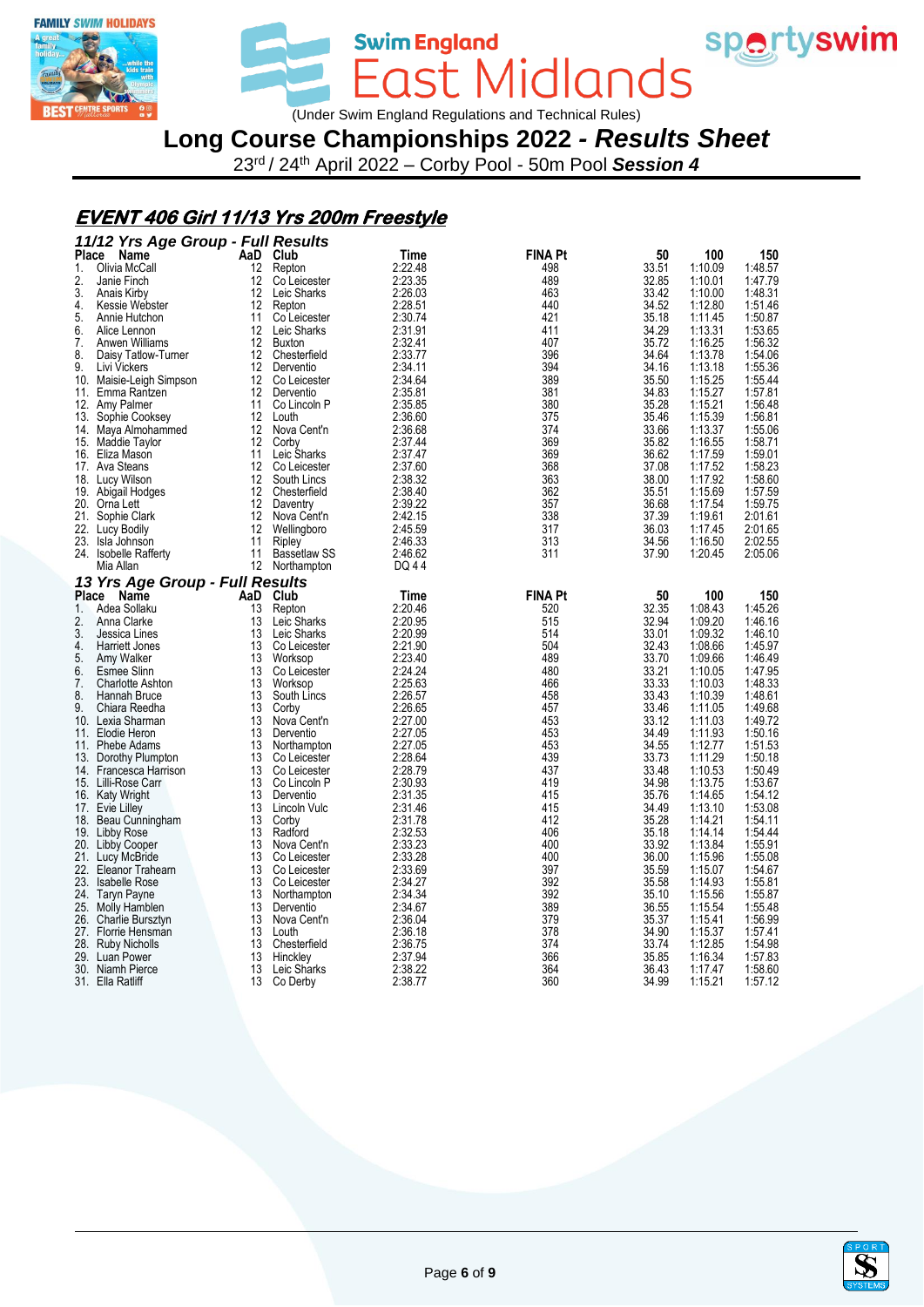



Swim England<br>
COST MICIONOS<br>
Under Swim England Regulations and Technical Rules)

# **Long Course Championships 2022** *- Results Sheet*

23rd / 24th April 2022 – Corby Pool - 50m Pool *Session 4*

#### **EVENT 406 Girl 11/13 Yrs 200m Freestyle**

|              | 11/12 Yrs Age Group - Full Results    |                   |                             |                    |                |                |                    |                    |
|--------------|---------------------------------------|-------------------|-----------------------------|--------------------|----------------|----------------|--------------------|--------------------|
| <b>Place</b> | Name                                  |                   | AaD Club                    | Time               | <b>FINA Pt</b> | 50             | 100                | 150                |
| 1.           | Olivia McCall                         | 12                | Repton                      | 2:22.48            | 498            | 33.51          | 1:10.09            | 1:48.57            |
| 2.           | Janie Finch                           | 12                | Co Leicester                | 2:23.35            | 489            | 32.85          | 1:10.01            | 1:47.79            |
| 3.           | Anais Kirby                           | 12                | Leic Sharks                 | 2:26.03            | 463            | 33.42          | 1:10.00            | 1:48.31            |
| 4.           | Kessie Webster                        | 12                | Repton                      | 2:28.51            | 440            | 34.52          | 1:12.80            | 1:51.46            |
| 5.           | Annie Hutchon                         | 11                | Co Leicester                | 2:30.74            | 421            | 35.18          | 1:11.45            | 1:50.87            |
| 6.           | Alice Lennon                          | 12                | Leic Sharks                 | 2:31.91            | 411            | 34.29          | 1:13.31            | 1:53.65            |
| 7.           | Anwen Williams                        | 12                | Buxton                      | 2:32.41            | 407            | 35.72          | 1:16.25            | 1:56.32            |
| 8.           | Daisy Tatlow-Turner                   | 12                | Chesterfield                | 2:33.77            | 396            | 34.64          | 1:13.78            | 1:54.06            |
| 9.           | Livi Vickers                          | 12                | Derventio                   | 2:34.11            | 394            | 34.16          | 1:13.18            | 1:55.36            |
|              | 10. Maisie-Leigh Simpson              | $12 \overline{ }$ | Co Leicester                | 2:34.64            | 389            | 35.50          | 1:15.25            | 1:55.44            |
| 11.          | Emma Rantzen                          | 12                | Derventio                   | 2:35.81            | 381            | 34.83          | 1:15.27            | 1:57.81            |
|              | 12. Amy Palmer                        | 11                | Co Lincoln P                | 2:35.85            | 380            | 35.28          | 1:15.21            | 1:56.48            |
| 13.          | Sophie Cooksey                        | 12                | Louth                       | 2:36.60            | 375            | 35.46          | 1:15.39            | 1:56.81            |
|              | 14. Maya Almohammed                   | 12                | Nova Cent'n                 | 2:36.68            | 374            | 33.66          | 1:13.37            | 1:55.06            |
|              | 15. Maddie Taylor                     | 12                | Corby                       | 2:37.44            | 369            | 35.82          | 1:16.55            | 1:58.71            |
|              | 16. Eliza Mason                       | 11                | Leic Sharks                 | 2:37.47            | 369            | 36.62          | 1:17.59            | 1:59.01            |
|              | 17. Ava Steans                        | 12                | Co Leicester                | 2:37.60            | 368            | 37.08          | 1:17.52            | 1:58.23            |
| 18.          | Lucy Wilson                           | 12                | South Lincs                 | 2:38.32            | 363            | 38.00          | 1:17.92            | 1:58.60            |
|              | 19. Abigail Hodges                    | 12                | Chesterfield                | 2:38.40            | 362            | 35.51          | 1:15.69            | 1:57.59            |
|              | 20. Orna Lett                         | 12                | Daventry                    | 2:39.22            | 357            | 36.68          | 1:17.54            | 1:59.75            |
|              | 21. Sophie Clark                      | 12                | Nova Cent'n                 | 2:42.15            | 338            | 37.39          | 1:19.61            | 2:01.61            |
|              | 22. Lucy Bodily                       | 12                | Wellingboro                 | 2:45.59            | 317            | 36.03          | 1:17.45            | 2:01.65            |
|              | 23. Isla Johnson                      | 11                | Ripley                      | 2:46.33            | 313            | 34.56          | 1:16.50            | 2:02.55            |
|              | 24. Isobelle Rafferty                 | 11                | <b>Bassetlaw SS</b>         | 2:46.62            | 311            | 37.90          | 1:20.45            | 2:05.06            |
|              | Mia Allan                             |                   | 12 Northampton              | DQ 44              |                |                |                    |                    |
|              | 13 Yrs Age Group - Full Results       |                   |                             |                    |                |                |                    |                    |
| <b>Place</b> | Name                                  | AaD               | Club                        | Time               | <b>FINA Pt</b> | 50             | 100                | 150                |
| $1_{\cdot}$  | Adea Sollaku                          | 13                | Repton                      | 2:20.46            | 520            | 32.35          | 1:08.43            | 1:45.26            |
| 2.           | Anna Clarke                           | 13                | Leic Sharks                 | 2:20.95            | 515            | 32.94          | 1:09.20            | 1:46.16            |
| 3.           | Jessica Lines                         | 13                | Leic Sharks                 | 2:20.99            | 514            | 33.01          | 1:09.32            | 1:46.10            |
| 4.           | Harriett Jones                        | 13                | Co Leicester                | 2:21.90            | 504            | 32.43          | 1:08.66            | 1:45.97            |
| 5.           | Amy Walker                            | 13                | Worksop                     | 2:23.40            | 489            | 33.70          | 1:09.66            | 1:46.49            |
| 6.           | <b>Esmee Slinn</b>                    | 13                | Co Leicester                | 2:24.24            | 480            | 33.21          | 1:10.05            | 1:47.95            |
| 7.           | <b>Charlotte Ashton</b>               | 13                | Worksop                     | 2:25.63            | 466            | 33.33          | 1:10.03            | 1:48.33            |
| 8.           | Hannah Bruce                          | 13                | South Lincs                 | 2:26.57            | 458            | 33.43          | 1:10.39            | 1:48.61            |
| 9.           | Chiara Reedha                         | 13                | Corby                       | 2:26.65            | 457            | 33.46          | 1:11.05            | 1:49.68            |
| 10.          | Lexia Sharman                         | 13                | Nova Cent'n                 | 2:27.00            | 453            | 33.12          | 1:11.03            | 1:49.72            |
|              | 11. Elodie Heron                      | 13                | Derventio                   |                    |                |                |                    |                    |
| 11.          |                                       |                   |                             |                    |                |                |                    |                    |
| 13.          |                                       |                   |                             | 2:27.05            | 453            | 34.49          | 1:11.93            | 1:50.16            |
|              | Phebe Adams                           | 13<br>13          | Northampton                 | 2:27.05            | 453            | 34.55          | 1:12.77            | 1:51.53            |
| 14.          | Dorothy Plumpton                      |                   | Co Leicester                | 2:28.64            | 439            | 33.73          | 1:11.29            | 1:50.18            |
|              | Francesca Harrison                    | 13<br>13          | Co Leicester                | 2:28.79            | 437<br>419     | 33.48          | 1:10.53            | 1:50.49            |
|              | 15. Lilli-Rose Carr                   | 13                | Co Lincoln P<br>Derventio   | 2:30.93<br>2:31.35 | 415            | 34.98<br>35.76 | 1:13.75<br>1:14.65 | 1:53.67<br>1:54.12 |
|              | 16. Katy Wright                       | 13                | Lincoln Vulc                | 2:31.46            | 415            | 34.49          | 1:13.10            | 1:53.08            |
|              | 17. Evie Lilley                       |                   |                             |                    |                |                |                    |                    |
| 18.          | Beau Cunningham                       | 13<br>13          | Corby<br>Radford            | 2:31.78<br>2:32.53 | 412<br>406     | 35.28          | 1:14.21<br>1:14.14 | 1:54.11<br>1:54.44 |
|              | 19. Libby Rose                        | 13                |                             |                    | 400            | 35.18          |                    |                    |
|              | 20. Libby Cooper                      | 13                | Nova Cent'n<br>Co Leicester | 2:33.23            | 400            | 33.92          | 1:13.84            | 1:55.91<br>1:55.08 |
| 22.          | 21. Lucy McBride<br>Eleanor Trahearn  | 13                | Co Leicester                | 2:33.28<br>2:33.69 | 397            | 36.00<br>35.59 | 1:15.96<br>1:15.07 | 1:54.67            |
|              | 23. Isabelle Rose                     | 13                | Co Leicester                | 2:34.27            | 392            | 35.58          | 1:14.93            | 1:55.81            |
|              |                                       | 13                | Northampton                 | 2:34.34            | 392            |                | 1:15.56            | 1:55.87            |
|              | 24. Taryn Payne                       | 13                | Derventio                   | 2:34.67            | 389            | 35.10<br>36.55 | 1:15.54            | 1:55.48            |
| 26.          | 25. Molly Hamblen<br>Charlie Bursztyn | 13                | Nova Cent'n                 | 2:36.04            | 379            | 35.37          | 1:15.41            | 1:56.99            |
| 27.          | Florrie Hensman                       | 13                | Louth                       | 2:36.18            | 378            | 34.90          | 1:15.37            | 1:57.41            |
|              |                                       | 13                | Chesterfield                | 2:36.75            | 374            | 33.74          | 1:12.85            | 1:54.98            |
|              | 28. Ruby Nicholls<br>29. Luan Power   | 13                |                             | 2:37.94            | 366            | 35.85          | 1:16.34            | 1:57.83            |
|              | 30. Niamh Pierce                      | 13                | Hinckley<br>Leic Sharks     | 2:38.22            | 364            | 36.43          | 1:17.47            | 1:58.60            |

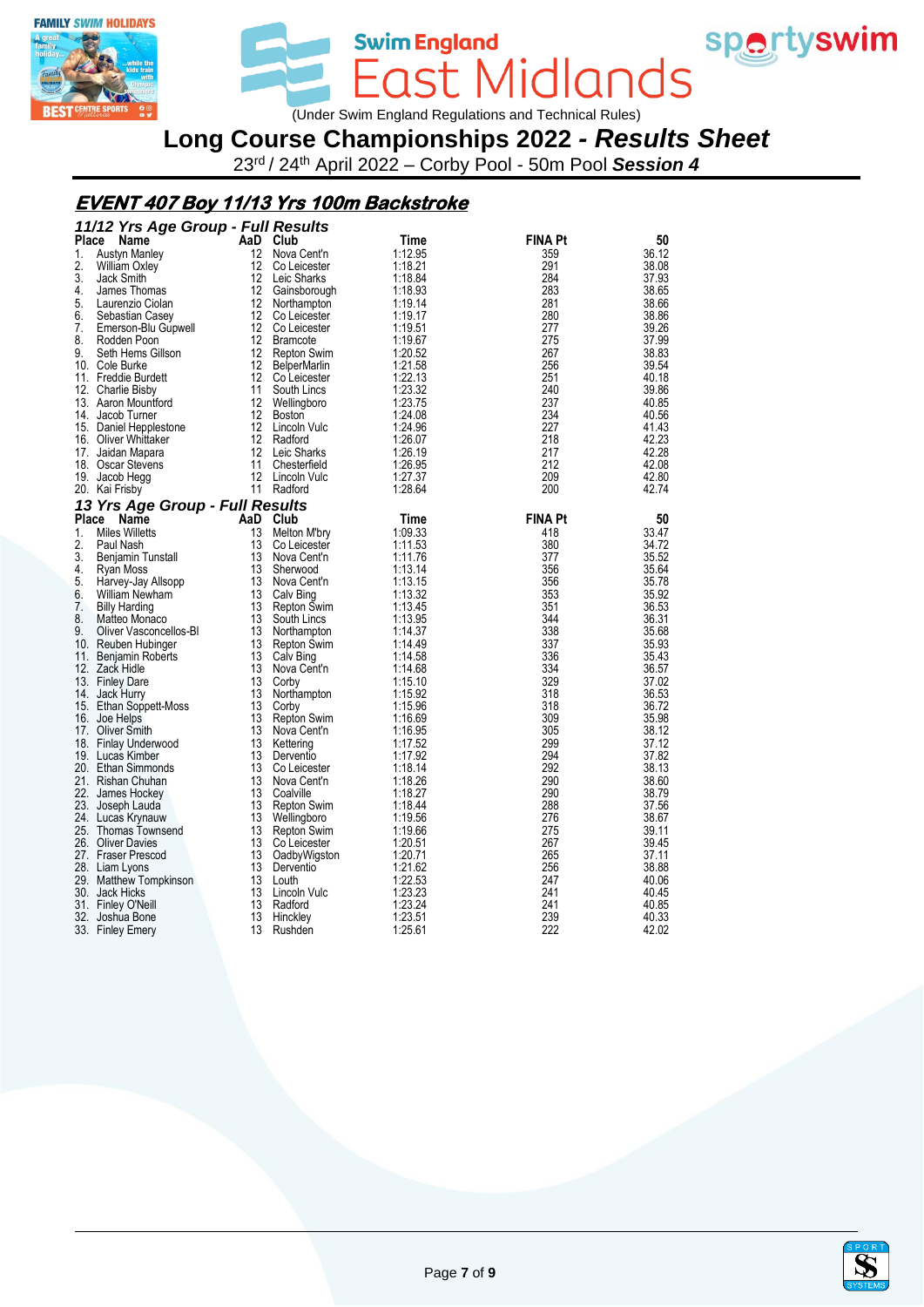



Swim England<br>East Midlands (Under Swim England Regulations and Technical Rules)

# **Long Course Championships 2022** *- Results Sheet*

23rd / 24th April 2022 – Corby Pool - 50m Pool *Session 4*

## **EVENT 407 Boy 11/13 Yrs 100m Backstroke**

|              | 11/12 Yrs Age Group - Full Results |                   |                     |         |                |       |  |  |
|--------------|------------------------------------|-------------------|---------------------|---------|----------------|-------|--|--|
| <b>Place</b> | Name                               | AaD Club          |                     | Time    | <b>FINA Pt</b> | 50    |  |  |
| 1.           | <b>Austyn Manley</b>               | 12                | Nova Cent'n         | 1:12.95 | 359            | 36.12 |  |  |
| 2.           | William Oxley                      | 12                | Co Leicester        | 1:18.21 | 291            | 38.08 |  |  |
| 3.           | Jack Smith                         | 12                | Leic Sharks         | 1:18.84 | 284            | 37.93 |  |  |
| 4.           | James Thomas                       | 12                | Gainsborough        | 1:18.93 | 283            | 38.65 |  |  |
| 5.           | Laurenzio Ciolan                   | 12                | Northampton         | 1:19.14 | 281            | 38.66 |  |  |
| 6.           | Sebastian Casey                    | $12 \overline{ }$ | Co Leicester        | 1:19.17 | 280            | 38.86 |  |  |
| 7.           | Emerson-Blu Gupwell                | 12                | Co Leicester        | 1:19.51 | 277            | 39.26 |  |  |
| 8.           | Rodden Poon                        | 12                | <b>Bramcote</b>     | 1:19.67 | 275            | 37.99 |  |  |
| 9.           | Seth Hems Gillson                  | 12                | Repton Swim         | 1:20.52 | 267            | 38.83 |  |  |
|              | 10. Cole Burke                     | 12                | <b>BelperMarlin</b> | 1:21.58 | 256            | 39.54 |  |  |
|              | 11. Freddie Burdett                | 12 <sup>°</sup>   | Co Leicester        | 1:22.13 | 251            | 40.18 |  |  |
|              | 12. Charlie Bisby                  | 11                | South Lincs         | 1:23.32 | 240            | 39.86 |  |  |
|              | 13. Aaron Mountford                | $12 \overline{ }$ | Wellingboro         | 1:23.75 | 237            | 40.85 |  |  |
|              | 14. Jacob Turner                   | 12                | <b>Boston</b>       | 1:24.08 | 234            | 40.56 |  |  |
|              | 15. Daniel Hepplestone             | 12                | Lincoln Vulc        | 1:24.96 | 227            | 41.43 |  |  |
|              | 16. Oliver Whittaker               | 12                | Radford             | 1:26.07 | 218            | 42.23 |  |  |
|              | 17. Jaidan Mapara                  | 12                | Leic Sharks         | 1:26.19 | 217            | 42.28 |  |  |
|              | 18. Oscar Stevens                  | 11                | Chesterfield        | 1:26.95 | 212            | 42.08 |  |  |
|              | 19. Jacob Hegg                     | $12 \overline{ }$ | Lincoln Vulc        | 1:27.37 | 209            | 42.80 |  |  |
|              | 20. Kai Frisby                     |                   | 11 Radford          | 1:28.64 | 200            | 42.74 |  |  |
|              | 13 Yrs Age Group - Full Results    |                   |                     |         |                |       |  |  |
| Place        | Name                               | AaD Club          |                     | Time    | <b>FINA Pt</b> | 50    |  |  |
| 1.           | <b>Miles Willetts</b>              | 13                | Melton M'bry        | 1:09.33 | 418            | 33.47 |  |  |
| 2.           | Paul Nash                          | 13                | Co Leicester        | 1:11.53 | 380            | 34.72 |  |  |
| 3.           | Benjamin Tunstall                  | 13                | Nova Cent'n         | 1:11.76 | 377            | 35.52 |  |  |
| 4.           | Ryan Moss                          | 13                | Sherwood            | 1:13.14 | 356            | 35.64 |  |  |
| 5.           | Harvey-Jay Allsopp                 | 13                | Nova Cent'n         | 1:13.15 | 356            | 35.78 |  |  |
| 6.           | William Newham                     | 13                | Calv Bing           | 1:13.32 | 353            | 35.92 |  |  |
| 7.           | <b>Billy Harding</b>               | 13                | Repton Swim         | 1:13.45 | 351            | 36.53 |  |  |
| 8.           | Matteo Monaco                      | 13                | South Lincs         | 1:13.95 | 344            | 36.31 |  |  |
| 9.           | Oliver Vasconcellos-BI             | 13                | Northampton         | 1:14.37 | 338            | 35.68 |  |  |
|              | 10. Reuben Hubinger                | 13                | Repton Swim         | 1:14.49 | 337            | 35.93 |  |  |
| 11.          | Benjamin Roberts                   | 13                | Calv Bing           | 1:14.58 | 336            | 35.43 |  |  |
|              | 12. Zack Hidle                     | 13                | Nova Cent'n         | 1:14.68 | 334            | 36.57 |  |  |
|              | 13. Finley Dare                    | 13                | Corby               | 1:15.10 | 329            | 37.02 |  |  |
| 14.          | Jack Hurry                         | 13                | Northampton         | 1:15.92 | 318            | 36.53 |  |  |
|              | 15. Ethan Soppett-Moss             | 13                | Corby               | 1:15.96 | 318            | 36.72 |  |  |
|              | 16. Joe Helps                      | 13                | <b>Repton Swim</b>  | 1:16.69 | 309            | 35.98 |  |  |
| 17.          | Oliver Smith                       | 13                | Nova Cent'n         | 1:16.95 | 305            | 38.12 |  |  |
|              | 18. Finlay Underwood               | 13                | Kettering           | 1:17.52 | 299            | 37.12 |  |  |
|              | 19. Lucas Kimber                   | 13                | Derventio           | 1:17.92 | 294            | 37.82 |  |  |
|              | 20. Ethan Simmonds                 | 13                | Co Leicester        | 1:18.14 | 292            | 38.13 |  |  |
|              | 21. Rishan Chuhan                  | 13                | Nova Cent'n         | 1:18.26 | 290            | 38.60 |  |  |
|              | 22. James Hockey                   | 13                | Coalville           | 1:18.27 | 290            | 38.79 |  |  |
|              | 23. Joseph Lauda                   | 13                | <b>Repton Swim</b>  | 1:18.44 | 288            | 37.56 |  |  |
|              | 24. Lucas Krynauw                  | 13                | Wellingboro         | 1:19.56 | 276            | 38.67 |  |  |
|              | 25. Thomas Townsend                | 13                | Repton Swim         | 1:19.66 | 275            | 39.11 |  |  |
|              | 26. Oliver Davies                  | 13                | Co Leicester        | 1:20.51 | 267            | 39.45 |  |  |
|              | 27. Fraser Prescod                 | 13                | OadbyWigston        | 1:20.71 | 265            | 37.11 |  |  |
|              | 28. Liam Lyons                     | 13                | Derventio           | 1:21.62 | 256            | 38.88 |  |  |
|              | 29. Matthew Tompkinson             | 13                | Louth               | 1:22.53 | 247            | 40.06 |  |  |
|              | 30. Jack Hicks                     | 13                | Lincoln Vulc        | 1:23.23 | 241            | 40.45 |  |  |
|              | 31. Finley O'Neill                 | 13                | Radford             | 1:23.24 | 241            | 40.85 |  |  |
|              | 32. Joshua Bone                    | 13                | Hinckley            | 1:23.51 | 239            | 40.33 |  |  |
|              | 33. Finley Emery                   | 13                | Rushden             | 1:25.61 | 222            | 42.02 |  |  |
|              |                                    |                   |                     |         |                |       |  |  |

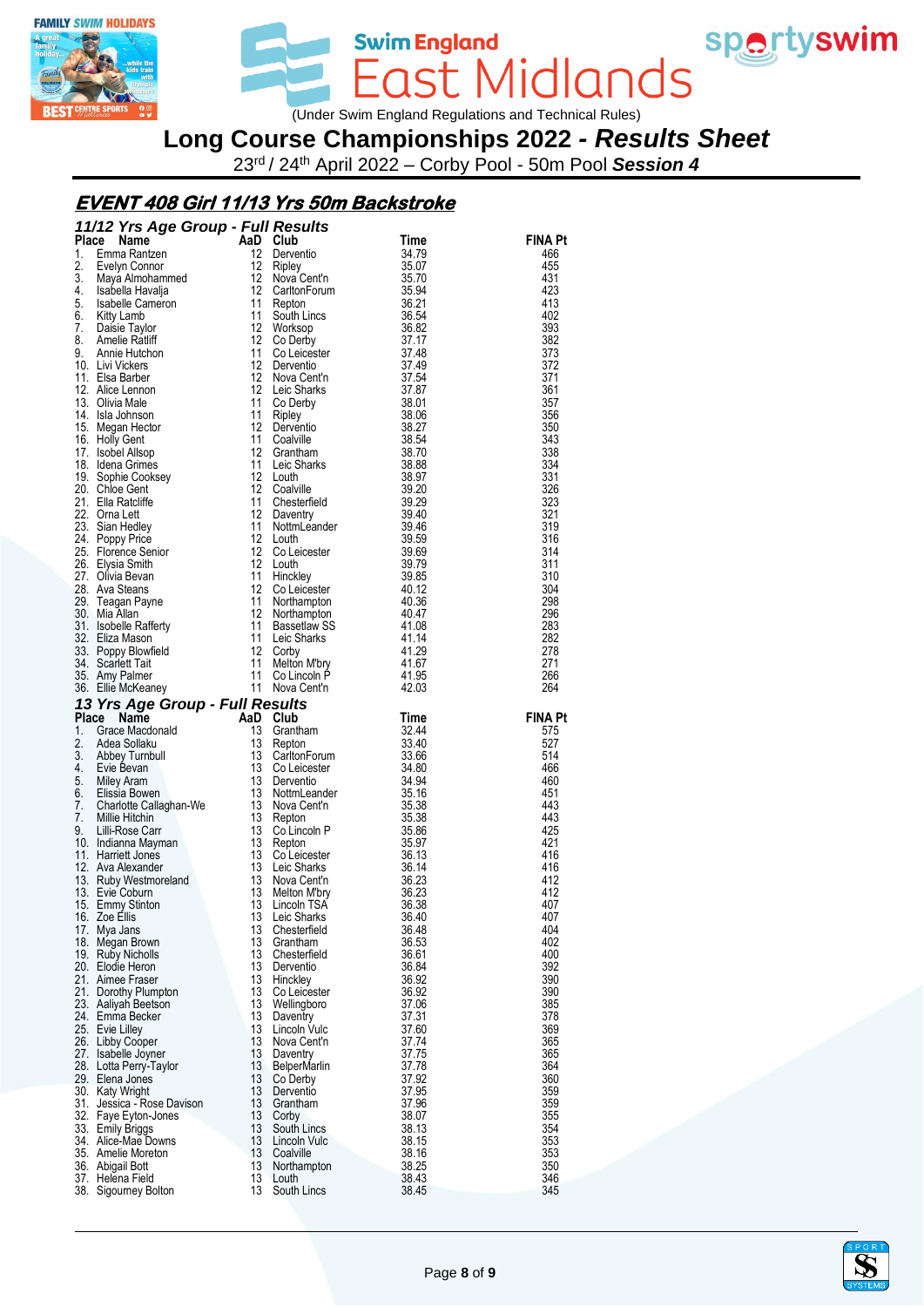



East Midlands (Under Swim England Regulations and Technical Rules)

**Swim England** 

**Long Course Championships 2022** *- Results Sheet*

23rd / 24th April 2022 – Corby Pool - 50m Pool *Session 4*

## **EVENT 408 Girl 11/13 Yrs 50m Backstroke**

|              | 11/12 Yrs Age Group - Full Results                                                                                                                                                                                                                                    |                         |                                                     |                |                |
|--------------|-----------------------------------------------------------------------------------------------------------------------------------------------------------------------------------------------------------------------------------------------------------------------|-------------------------|-----------------------------------------------------|----------------|----------------|
| <b>Place</b> | Command Command Command Command Command Command Command Command Command Command Command Command Command Command Command Command Command Command Command Command Command Command Command Command Command Command Command Comman                                        |                         | <b>Urup</b><br>Derventio                            | Time           | <b>FINA Pt</b> |
| 1.<br>2.     |                                                                                                                                                                                                                                                                       |                         |                                                     | 34.79          | 466<br>455     |
| 3.           |                                                                                                                                                                                                                                                                       |                         | Nova Cent'n                                         | 35.07<br>35.70 | 431            |
| 4.           |                                                                                                                                                                                                                                                                       |                         | CarltonForum                                        | 35.94          | 423            |
| 5.           |                                                                                                                                                                                                                                                                       |                         | Repton                                              | 36.21          | 413            |
| 6.           |                                                                                                                                                                                                                                                                       |                         | South Lincs                                         | 36.54          | 402            |
| 7.           |                                                                                                                                                                                                                                                                       |                         | Worksop                                             | 36.82          | 393            |
| 8.           | <b>Amelie Ratliff</b>                                                                                                                                                                                                                                                 | 12                      | Co Derby                                            | 37.17          | 382            |
| 9.           | Annie Hutchon<br>10. Livi Vickers                                                                                                                                                                                                                                     | 11<br>$12 \overline{ }$ | Co Leicester<br>Derventio                           | 37.48<br>37.49 | 373<br>372     |
|              | 11. Elsa Barber                                                                                                                                                                                                                                                       | 12                      | Nova Cent'n                                         | 37.54          | 371            |
|              | 12. Alice Lennon                                                                                                                                                                                                                                                      | 12                      | Leic Sharks                                         | 37.87          | 361            |
|              | 13. Olivia Male                                                                                                                                                                                                                                                       | 11                      | Co Derby                                            | 38.01          | 357            |
|              | 14. Isla Johnson                                                                                                                                                                                                                                                      | 11                      | Ripley                                              | 38.06          | 356            |
|              | 15. Megan Hector                                                                                                                                                                                                                                                      | 12                      |                                                     |                | 350            |
|              | 16. Holly Gent<br>17. Isobel Allsop                                                                                                                                                                                                                                   | 11                      | 12 Grantham                                         |                | 343<br>338     |
|              | 18. Idena Grimes                                                                                                                                                                                                                                                      | 11                      |                                                     |                | 334            |
|              | 19. Sophie Cooksey                                                                                                                                                                                                                                                    | 12                      |                                                     |                | 331            |
|              | 20. Chloe Gent                                                                                                                                                                                                                                                        |                         | 12 Coalville                                        |                | 326            |
|              | 21. Ella Ratcliffe                                                                                                                                                                                                                                                    | 11                      |                                                     |                | 323            |
|              | 22. Orna Lett                                                                                                                                                                                                                                                         | $12 \overline{ }$       |                                                     |                | 321            |
|              | 23. Sian Hedley                                                                                                                                                                                                                                                       | 11                      |                                                     |                | 319            |
|              | 24. Poppy Price                                                                                                                                                                                                                                                       | 12<br>$12 \,$           |                                                     |                | 316<br>314     |
|              | 25. Florence Senior<br>26. Elysia Smith                                                                                                                                                                                                                               | 12                      |                                                     |                | 311            |
|              | 27. Olivia Bevan                                                                                                                                                                                                                                                      | 11                      |                                                     |                | 310            |
|              | 28. Ava Steans                                                                                                                                                                                                                                                        |                         | 12 Co Leicesic.<br>11 Northampton<br>12 Northampton |                | 304            |
|              | 29.   Teagan Payne<br>30   Mia Allan                                                                                                                                                                                                                                  |                         |                                                     |                | 298            |
|              | 30. Mia Allan                                                                                                                                                                                                                                                         |                         |                                                     |                | 296            |
|              | 31. Isobelle Rafferty                                                                                                                                                                                                                                                 | 11                      |                                                     |                | 283            |
|              | 32. Eliza Mason                                                                                                                                                                                                                                                       | 11                      | Bassetlaw SS<br>Leic Sharks<br>Leic Sharks          | 41.14          | 282            |
|              | 33. Poppy Blowfield<br>34. Scarlett Tait                                                                                                                                                                                                                              |                         |                                                     | 41.29<br>41.67 | 278<br>271     |
|              | 35. Amy Palmer                                                                                                                                                                                                                                                        |                         |                                                     | 41.95          | 266            |
|              | 12 Corby<br>11 Melton M'bry<br>11 Co Lincoln P<br>11 Nova Cent'n<br>1<br>36. Ellie McKeaney                                                                                                                                                                           |                         |                                                     | 42.03          | 264            |
|              |                                                                                                                                                                                                                                                                       |                         |                                                     |                |                |
|              |                                                                                                                                                                                                                                                                       |                         |                                                     |                |                |
|              | 13 Yrs Age Group - Full Results                                                                                                                                                                                                                                       |                         |                                                     | Time           | <b>FINA Pt</b> |
|              |                                                                                                                                                                                                                                                                       |                         | Grantham                                            | 32.44          | 575            |
|              |                                                                                                                                                                                                                                                                       |                         |                                                     | 33.40          | 527            |
|              |                                                                                                                                                                                                                                                                       |                         | CarltonForum                                        | 33.66          | 514            |
|              |                                                                                                                                                                                                                                                                       |                         |                                                     | 34.80          | 466            |
|              |                                                                                                                                                                                                                                                                       |                         |                                                     | 34.94          | 460            |
|              |                                                                                                                                                                                                                                                                       |                         | NottmLeander                                        | 35.16<br>35.38 | 451<br>443     |
|              |                                                                                                                                                                                                                                                                       |                         |                                                     | 35.38          | 443            |
|              |                                                                                                                                                                                                                                                                       |                         |                                                     | 35.86          | 425            |
|              |                                                                                                                                                                                                                                                                       |                         | Co Lincoln P<br>Penten                              | 35.97          | 421            |
|              |                                                                                                                                                                                                                                                                       |                         | Co Leicester                                        | 36.13          | 416            |
|              |                                                                                                                                                                                                                                                                       |                         |                                                     | 36.14          | 416<br>412     |
|              |                                                                                                                                                                                                                                                                       |                         |                                                     | 36.23<br>36.23 | 412            |
|              |                                                                                                                                                                                                                                                                       |                         |                                                     | 36.38          | 407            |
|              | 13 Yrs Age Group - Full Results<br>Place Name<br>1. Grace Macdonald<br>1. Grace Macdonald<br>1. Grace Macdonald<br>1. Grace Machand<br>1. Schep Tumbull<br>1. Evie Bevan<br>1. Evie Bevan<br>1. Schep Tumbull<br>1. Grace Sollaku<br>1. Schep 1. Sch<br>16. Zoe Ellis |                         | 13 Leic Sharks                                      | 36.40          | 407            |
|              | 17. Mya Jans                                                                                                                                                                                                                                                          | 13                      | Chesterfield                                        | 36.48          | 404            |
|              | 18. Megan Brown                                                                                                                                                                                                                                                       | 13                      | Grantham                                            | 36.53          | 402            |
|              | 19. Ruby Nicholls                                                                                                                                                                                                                                                     | 13                      | Chesterfield                                        | 36.61          | 400            |
|              | 20. Elodie Heron<br>21. Aimee Fraser                                                                                                                                                                                                                                  | 13<br>13                | Derventio<br>Hinckley                               | 36.84<br>36.92 | 392<br>390     |
|              | 21. Dorothy Plumpton                                                                                                                                                                                                                                                  | 13                      | Co Leicester                                        | 36.92          | 390            |
|              | 23. Aaliyah Beetson                                                                                                                                                                                                                                                   | 13                      | Wellingboro                                         | 37.06          | 385            |
|              | 24. Emma Becker                                                                                                                                                                                                                                                       | 13                      | Daventry                                            | 37.31          | 378            |
|              | 25. Evie Lilley                                                                                                                                                                                                                                                       | 13                      | Lincoln Vulc                                        | 37.60          | 369            |
|              | 26. Libby Cooper                                                                                                                                                                                                                                                      | 13                      | Nova Cent'n                                         | 37.74          | 365            |
|              | 27. Isabelle Joyner                                                                                                                                                                                                                                                   | 13<br>13                | Daventry<br><b>BelperMarlin</b>                     | 37.75<br>37.78 | 365<br>364     |
|              | 28. Lotta Perry-Taylor<br>29. Elena Jones                                                                                                                                                                                                                             | 13                      | Co Derby                                            | 37.92          | 360            |
|              | 30. Katy Wright                                                                                                                                                                                                                                                       | 13                      | Derventio                                           | 37.95          | 359            |
|              | 31. Jessica - Rose Davison                                                                                                                                                                                                                                            | 13                      | Grantham                                            | 37.96          | 359            |
|              | 32. Faye Eyton-Jones                                                                                                                                                                                                                                                  | 13                      | Corby                                               | 38.07          | 355            |
|              | 33. Emily Briggs                                                                                                                                                                                                                                                      | 13                      | South Lincs                                         | 38.13          | 354            |
|              | 34. Alice-Mae Downs                                                                                                                                                                                                                                                   | 13<br>13                | Lincoln Vulc                                        | 38.15          | 353            |
|              | 35. Amelie Moreton<br>36. Abigail Bott                                                                                                                                                                                                                                | 13                      | Coalville<br>Northampton                            | 38.16<br>38.25 | 353<br>350     |
|              | 37. Helena Field<br>38. Sigourney Bolton                                                                                                                                                                                                                              | 13<br>13                | Louth<br>South Lincs                                | 38.43<br>38.45 | 346<br>345     |